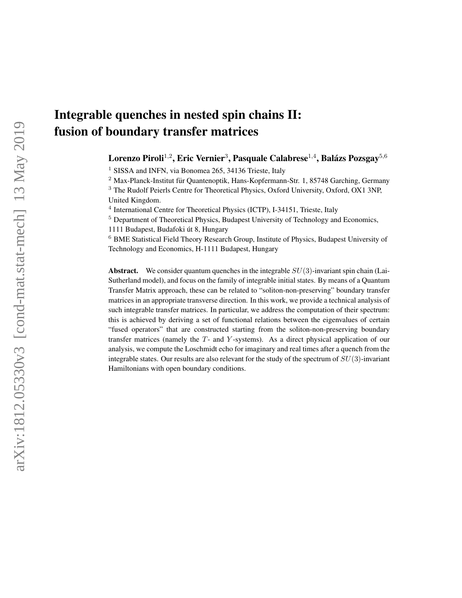# Integrable quenches in nested spin chains II: fusion of boundary transfer matrices

Lorenzo Piroli $^{1,2}$ , Eric Vernier $^3$ , Pasquale Calabrese $^{1,4}$ , Balázs Pozsgay $^{5,6}$ 

<sup>1</sup> SISSA and INFN, via Bonomea 265, 34136 Trieste, Italy

<sup>2</sup> Max-Planck-Institut für Quantenoptik, Hans-Kopfermann-Str. 1, 85748 Garching, Germany

<sup>3</sup> The Rudolf Peierls Centre for Theoretical Physics, Oxford University, Oxford, OX1 3NP, United Kingdom.

<sup>4</sup> International Centre for Theoretical Physics (ICTP), I-34151, Trieste, Italy

<sup>5</sup> Department of Theoretical Physics, Budapest University of Technology and Economics,

1111 Budapest, Budafoki út 8, Hungary

<sup>6</sup> BME Statistical Field Theory Research Group, Institute of Physics, Budapest University of Technology and Economics, H-1111 Budapest, Hungary

**Abstract.** We consider quantum quenches in the integrable  $SU(3)$ -invariant spin chain (Lai-Sutherland model), and focus on the family of integrable initial states. By means of a Quantum Transfer Matrix approach, these can be related to "soliton-non-preserving" boundary transfer matrices in an appropriate transverse direction. In this work, we provide a technical analysis of such integrable transfer matrices. In particular, we address the computation of their spectrum: this is achieved by deriving a set of functional relations between the eigenvalues of certain "fused operators" that are constructed starting from the soliton-non-preserving boundary transfer matrices (namely the T- and Y -systems). As a direct physical application of our analysis, we compute the Loschmidt echo for imaginary and real times after a quench from the integrable states. Our results are also relevant for the study of the spectrum of  $SU(3)$ -invariant Hamiltonians with open boundary conditions.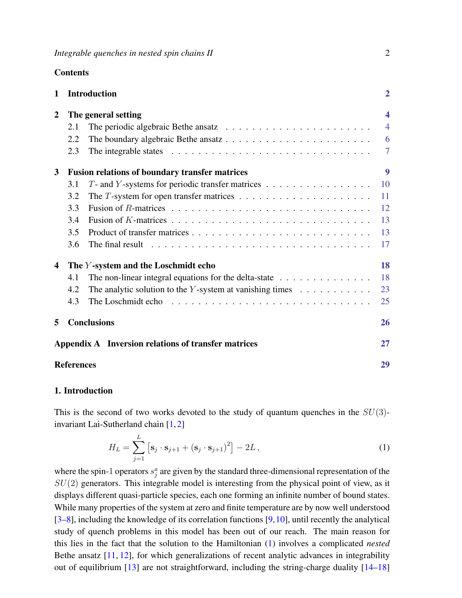**Contents** 

| 1                                                          |                                                     | <b>Introduction</b>                                                                               | $\overline{2}$          |
|------------------------------------------------------------|-----------------------------------------------------|---------------------------------------------------------------------------------------------------|-------------------------|
|                                                            |                                                     |                                                                                                   |                         |
| 2                                                          | The general setting                                 |                                                                                                   | $\overline{\mathbf{4}}$ |
|                                                            | 2.1                                                 | The periodic algebraic Bethe ansatz $\ldots \ldots \ldots \ldots \ldots \ldots \ldots \ldots$     | $\overline{4}$          |
|                                                            | 2.2                                                 |                                                                                                   | 6                       |
|                                                            | 2.3                                                 |                                                                                                   | 7                       |
| <b>Fusion relations of boundary transfer matrices</b><br>3 |                                                     |                                                                                                   | 9                       |
|                                                            | 3.1                                                 | $T$ - and Y-systems for periodic transfer matrices                                                | 10                      |
|                                                            | 3.2                                                 |                                                                                                   | 11                      |
|                                                            | 3.3                                                 |                                                                                                   | 12                      |
|                                                            | 3.4                                                 |                                                                                                   | 13                      |
|                                                            | 3.5                                                 |                                                                                                   | 13                      |
|                                                            | 3.6                                                 | The final result $\ldots \ldots \ldots \ldots \ldots \ldots \ldots \ldots \ldots \ldots \ldots$   | 17                      |
| The Y-system and the Loschmidt echo<br>4                   |                                                     |                                                                                                   | 18                      |
|                                                            | 4.1                                                 | The non-linear integral equations for the delta-state $\ldots \ldots \ldots \ldots$               | 18                      |
|                                                            | 4.2                                                 | The analytic solution to the Y-system at vanishing times $\dots \dots \dots$                      | 23                      |
|                                                            | 4.3                                                 | The Loschmidt echo $\ldots \ldots \ldots \ldots \ldots \ldots \ldots \ldots \ldots \ldots \ldots$ | 25                      |
| 5                                                          | <b>Conclusions</b>                                  |                                                                                                   | 26                      |
|                                                            | Appendix A Inversion relations of transfer matrices |                                                                                                   |                         |
|                                                            | <b>References</b>                                   |                                                                                                   |                         |

#### <span id="page-1-0"></span>1. Introduction

This is the second of two works devoted to the study of quantum quenches in the  $SU(3)$ invariant Lai-Sutherland chain [\[1,](#page-28-1) [2\]](#page-28-2)

<span id="page-1-1"></span>
$$
H_L = \sum_{j=1}^{L} \left[ \mathbf{s}_j \cdot \mathbf{s}_{j+1} + (\mathbf{s}_j \cdot \mathbf{s}_{j+1})^2 \right] - 2L,
$$
\n(1)

where the spin-1 operators  $s_j^a$  are given by the standard three-dimensional representation of the  $SU(2)$  generators. This integrable model is interesting from the physical point of view, as it displays different quasi-particle species, each one forming an infinite number of bound states. While many properties of the system at zero and finite temperature are by now well understood [\[3–](#page-28-3)[8\]](#page-28-4), including the knowledge of its correlation functions [\[9,](#page-28-5)[10\]](#page-28-6), until recently the analytical study of quench problems in this model has been out of our reach. The main reason for this lies in the fact that the solution to the Hamiltonian [\(1\)](#page-1-1) involves a complicated *nested* Bethe ansatz [\[11,](#page-28-7) [12\]](#page-28-8), for which generalizations of recent analytic advances in integrability out of equilibrium  $\left[13\right]$  are not straightforward, including the string-charge duality  $\left[14-18\right]$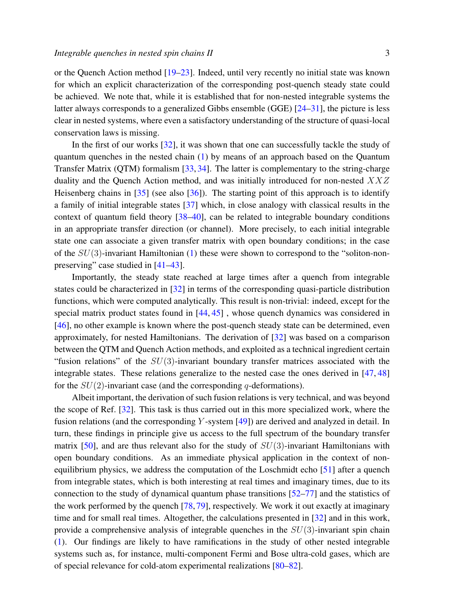or the Quench Action method [\[19–](#page-28-12)[23\]](#page-28-13). Indeed, until very recently no initial state was known

for which an explicit characterization of the corresponding post-quench steady state could be achieved. We note that, while it is established that for non-nested integrable systems the latter always corresponds to a generalized Gibbs ensemble (GGE) [\[24](#page-28-14)[–31\]](#page-29-0), the picture is less clear in nested systems, where even a satisfactory understanding of the structure of quasi-local conservation laws is missing.

In the first of our works [\[32\]](#page-29-1), it was shown that one can successfully tackle the study of quantum quenches in the nested chain [\(1\)](#page-1-1) by means of an approach based on the Quantum Transfer Matrix (QTM) formalism [\[33,](#page-29-2) [34\]](#page-29-3). The latter is complementary to the string-charge duality and the Quench Action method, and was initially introduced for non-nested XXZ Heisenberg chains in  $[35]$  (see also  $[36]$ ). The starting point of this approach is to identify a family of initial integrable states [\[37\]](#page-29-6) which, in close analogy with classical results in the context of quantum field theory [\[38](#page-29-7)[–40\]](#page-29-8), can be related to integrable boundary conditions in an appropriate transfer direction (or channel). More precisely, to each initial integrable state one can associate a given transfer matrix with open boundary conditions; in the case of the  $SU(3)$ -invariant Hamiltonian [\(1\)](#page-1-1) these were shown to correspond to the "soliton-nonpreserving" case studied in [\[41](#page-29-9)[–43\]](#page-29-10).

Importantly, the steady state reached at large times after a quench from integrable states could be characterized in [\[32\]](#page-29-1) in terms of the corresponding quasi-particle distribution functions, which were computed analytically. This result is non-trivial: indeed, except for the special matrix product states found in [\[44,](#page-29-11) [45\]](#page-29-12) , whose quench dynamics was considered in [\[46\]](#page-29-13), no other example is known where the post-quench steady state can be determined, even approximately, for nested Hamiltonians. The derivation of [\[32\]](#page-29-1) was based on a comparison between the QTM and Quench Action methods, and exploited as a technical ingredient certain "fusion relations" of the  $SU(3)$ -invariant boundary transfer matrices associated with the integrable states. These relations generalize to the nested case the ones derived in [\[47,](#page-29-14) [48\]](#page-29-15) for the  $SU(2)$ -invariant case (and the corresponding q-deformations).

Albeit important, the derivation of such fusion relations is very technical, and was beyond the scope of Ref. [\[32\]](#page-29-1). This task is thus carried out in this more specialized work, where the fusion relations (and the corresponding Y -system [\[49\]](#page-29-16)) are derived and analyzed in detail. In turn, these findings in principle give us access to the full spectrum of the boundary transfer matrix  $[50]$ , and are thus relevant also for the study of  $SU(3)$ -invariant Hamiltonians with open boundary conditions. As an immediate physical application in the context of nonequilibrium physics, we address the computation of the Loschmidt echo [\[51\]](#page-29-18) after a quench from integrable states, which is both interesting at real times and imaginary times, due to its connection to the study of dynamical quantum phase transitions [\[52–](#page-29-19)[77\]](#page-30-0) and the statistics of the work performed by the quench [\[78,](#page-30-1) [79\]](#page-30-2), respectively. We work it out exactly at imaginary time and for small real times. Altogether, the calculations presented in [\[32\]](#page-29-1) and in this work, provide a comprehensive analysis of integrable quenches in the  $SU(3)$ -invariant spin chain [\(1\)](#page-1-1). Our findings are likely to have ramifications in the study of other nested integrable systems such as, for instance, multi-component Fermi and Bose ultra-cold gases, which are of special relevance for cold-atom experimental realizations [\[80–](#page-30-3)[82\]](#page-30-4).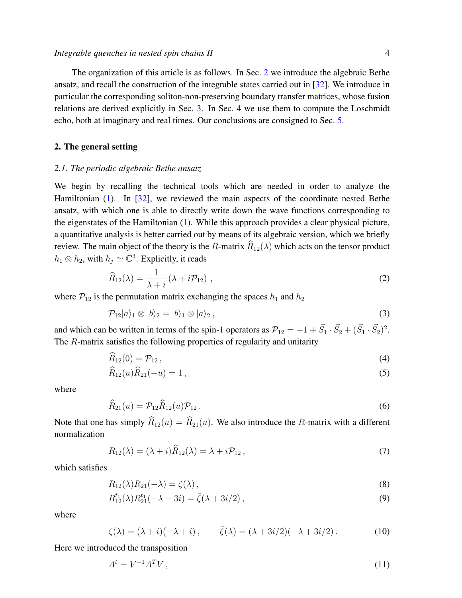The organization of this article is as follows. In Sec. [2](#page-3-0) we introduce the algebraic Bethe ansatz, and recall the construction of the integrable states carried out in [\[32\]](#page-29-1). We introduce in particular the corresponding soliton-non-preserving boundary transfer matrices, whose fusion relations are derived explicitly in Sec. [3.](#page-8-0) In Sec. [4](#page-17-0) we use them to compute the Loschmidt echo, both at imaginary and real times. Our conclusions are consigned to Sec. [5.](#page-25-0)

#### <span id="page-3-0"></span>2. The general setting

## <span id="page-3-1"></span>*2.1. The periodic algebraic Bethe ansatz*

We begin by recalling the technical tools which are needed in order to analyze the Hamiltonian [\(1\)](#page-1-1). In [\[32\]](#page-29-1), we reviewed the main aspects of the coordinate nested Bethe ansatz, with which one is able to directly write down the wave functions corresponding to the eigenstates of the Hamiltonian [\(1\)](#page-1-1). While this approach provides a clear physical picture, a quantitative analysis is better carried out by means of its algebraic version, which we briefly review. The main object of the theory is the R-matrix  $\widehat{R}_{12}(\lambda)$  which acts on the tensor product  $h_1 \otimes h_2$ , with  $h_j \simeq \mathbb{C}^3$ . Explicitly, it reads

$$
\widehat{R}_{12}(\lambda) = \frac{1}{\lambda + i} \left( \lambda + i \mathcal{P}_{12} \right) , \qquad (2)
$$

where  $P_{12}$  is the permutation matrix exchanging the spaces  $h_1$  and  $h_2$ 

$$
\mathcal{P}_{12}|a\rangle_1 \otimes |b\rangle_2 = |b\rangle_1 \otimes |a\rangle_2 ,\qquad (3)
$$

and which can be written in terms of the spin-1 operators as  $\mathcal{P}_{12} = -1 + \vec{S}_1 \cdot \vec{S}_2 + (\vec{S}_1 \cdot \vec{S}_2)^2$ . The R-matrix satisfies the following properties of regularity and unitarity

$$
\widehat{R}_{12}(0) = \mathcal{P}_{12} \,, \tag{4}
$$

$$
\widehat{R}_{12}(u)\widehat{R}_{21}(-u) = 1\,,\tag{5}
$$

where

$$
\widehat{R}_{21}(u) = \mathcal{P}_{12}\widehat{R}_{12}(u)\mathcal{P}_{12} \,.
$$
\n(6)

Note that one has simply  $\widehat{R}_{12}(u) = \widehat{R}_{21}(u)$ . We also introduce the R-matrix with a different normalization

$$
R_{12}(\lambda) = (\lambda + i)\widehat{R}_{12}(\lambda) = \lambda + i\mathcal{P}_{12},\tag{7}
$$

which satisfies

<span id="page-3-2"></span>
$$
R_{12}(\lambda)R_{21}(-\lambda) = \zeta(\lambda), \qquad (8)
$$

$$
R_{12}^{t_1}(\lambda)R_{21}^{t_1}(-\lambda - 3i) = \bar{\zeta}(\lambda + 3i/2), \qquad (9)
$$

where

$$
\zeta(\lambda) = (\lambda + i)(-\lambda + i), \qquad \bar{\zeta}(\lambda) = (\lambda + 3i/2)(-\lambda + 3i/2). \tag{10}
$$

Here we introduced the transposition

$$
A^t = V^{-1}A^T V, \qquad (11)
$$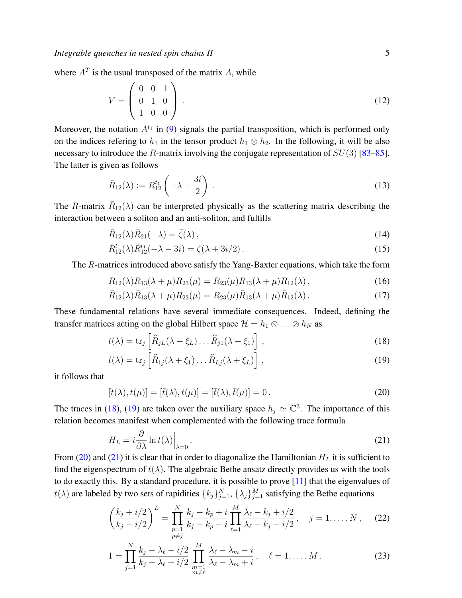where  $A<sup>T</sup>$  is the usual transposed of the matrix A, while

$$
V = \left(\begin{array}{ccc} 0 & 0 & 1 \\ 0 & 1 & 0 \\ 1 & 0 & 0 \end{array}\right). \tag{12}
$$

Moreover, the notation  $A^{t_1}$  in [\(9\)](#page-3-2) signals the partial transposition, which is performed only on the indices refering to  $h_1$  in the tensor product  $h_1 \otimes h_2$ . In the following, it will be also necessary to introduce the R-matrix involving the conjugate representation of  $SU(3)$  [\[83–](#page-30-5)[85\]](#page-30-6). The latter is given as follows

$$
\bar{R}_{12}(\lambda) := R_{12}^{t_1} \left( -\lambda - \frac{3i}{2} \right) \,. \tag{13}
$$

The R-matrix  $\bar{R}_{12}(\lambda)$  can be interpreted physically as the scattering matrix describing the interaction between a soliton and an anti-soliton, and fulfills

$$
\bar{R}_{12}(\lambda)\bar{R}_{21}(-\lambda) = \bar{\zeta}(\lambda),\qquad(14)
$$

$$
\bar{R}_{12}^{t_1}(\lambda)\bar{R}_{12}^{t_1}(-\lambda - 3i) = \zeta(\lambda + 3i/2). \tag{15}
$$

The R-matrices introduced above satisfy the Yang-Baxter equations, which take the form

<span id="page-4-3"></span>
$$
R_{12}(\lambda)R_{13}(\lambda+\mu)R_{23}(\mu) = R_{23}(\mu)R_{13}(\lambda+\mu)R_{12}(\lambda), \qquad (16)
$$

$$
\bar{R}_{12}(\lambda)\bar{R}_{13}(\lambda+\mu)R_{23}(\mu) = R_{23}(\mu)\bar{R}_{13}(\lambda+\mu)\bar{R}_{12}(\lambda).
$$
 (17)

These fundamental relations have several immediate consequences. Indeed, defining the transfer matrices acting on the global Hilbert space  $\mathcal{H} = h_1 \otimes \ldots \otimes h_N$  as

<span id="page-4-0"></span>
$$
t(\lambda) = \text{tr}_j \left[ \widehat{R}_{jL}(\lambda - \xi_L) \dots \widehat{R}_{j1}(\lambda - \xi_1) \right], \qquad (18)
$$

$$
\bar{t}(\lambda) = \text{tr}_j \left[ \widehat{R}_{1j}(\lambda + \xi_1) \dots \widehat{R}_{Lj}(\lambda + \xi_L) \right], \qquad (19)
$$

it follows that

<span id="page-4-1"></span>
$$
[t(\lambda), t(\mu)] = [\bar{t}(\lambda), t(\mu)] = [\bar{t}(\lambda), \bar{t}(\mu)] = 0.
$$
\n(20)

The traces in [\(18\)](#page-4-0), [\(19\)](#page-4-0) are taken over the auxiliary space  $h_j \simeq \mathbb{C}^3$ . The importance of this relation becomes manifest when complemented with the following trace formula

<span id="page-4-2"></span>
$$
H_L = i \frac{\partial}{\partial \lambda} \ln t(\lambda) \Big|_{\lambda = 0} \,. \tag{21}
$$

From [\(20\)](#page-4-1) and [\(21\)](#page-4-2) it is clear that in order to diagonalize the Hamiltonian  $H_L$  it is sufficient to find the eigenspectrum of  $t(\lambda)$ . The algebraic Bethe ansatz directly provides us with the tools to do exactly this. By a standard procedure, it is possible to prove [\[11\]](#page-28-7) that the eigenvalues of  $t(\lambda)$  are labeled by two sets of rapidities  $\{k_j\}_{j=1}^N$ ,  $\{\lambda_j\}_{j=1}^M$  satisfying the Bethe equations

$$
\left(\frac{k_j + i/2}{k_j - i/2}\right)^L = \prod_{\substack{p=1 \ p \neq j}}^N \frac{k_j - k_p + i}{k_j - k_p - i} \prod_{\ell=1}^M \frac{\lambda_\ell - k_j + i/2}{\lambda_\ell - k_j - i/2}, \quad j = 1, \dots, N, \quad (22)
$$

$$
1 = \prod_{j=1}^{N} \frac{k_j - \lambda_\ell - i/2}{k_j - \lambda_\ell + i/2} \prod_{\substack{m=1 \ m \neq \ell}}^{M} \frac{\lambda_\ell - \lambda_m - i}{\lambda_\ell - \lambda_m + i}, \quad \ell = 1, \dots, M. \tag{23}
$$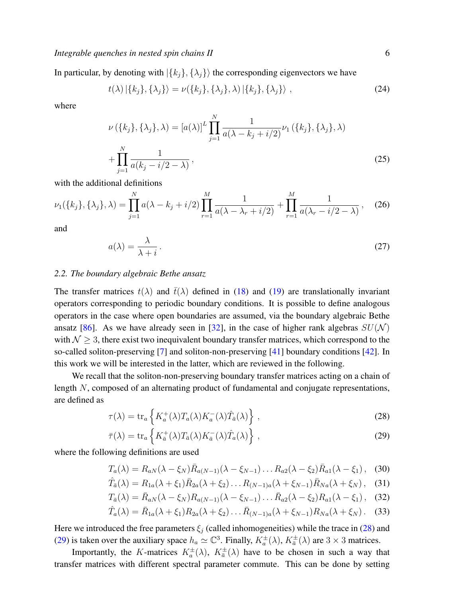In particular, by denoting with  $|\{k_j\}, \{\lambda_j\}\rangle$  the corresponding eigenvectors we have

$$
t(\lambda) \left| \{k_j\}, \{\lambda_j\} \right\rangle = \nu(\{k_j\}, \{\lambda_j\}, \lambda) \left| \{k_j\}, \{\lambda_j\} \right\rangle, \tag{24}
$$

where

$$
\nu({k_j}, {\lambda_j}, \lambda) = [a(\lambda)]^L \prod_{j=1}^N \frac{1}{a(\lambda - k_j + i/2)} \nu_1({k_j}, {\lambda_j}, \lambda)
$$
  
+ 
$$
\prod_{j=1}^N \frac{1}{a(k_j - i/2 - \lambda)},
$$
 (25)

with the additional definitions

$$
\nu_1(\{k_j\}, \{\lambda_j\}, \lambda) = \prod_{j=1}^N a(\lambda - k_j + i/2) \prod_{r=1}^M \frac{1}{a(\lambda - \lambda_r + i/2)} + \prod_{r=1}^M \frac{1}{a(\lambda_r - i/2 - \lambda)},
$$
 (26)

and

$$
a(\lambda) = \frac{\lambda}{\lambda + i} \,. \tag{27}
$$

## <span id="page-5-0"></span>*2.2. The boundary algebraic Bethe ansatz*

The transfer matrices  $t(\lambda)$  and  $\bar{t}(\lambda)$  defined in [\(18\)](#page-4-0) and [\(19\)](#page-4-0) are translationally invariant operators corresponding to periodic boundary conditions. It is possible to define analogous operators in the case where open boundaries are assumed, via the boundary algebraic Bethe ansatz [\[86\]](#page-30-7). As we have already seen in [\[32\]](#page-29-1), in the case of higher rank algebras  $SU(N)$ with  $\mathcal{N} \geq 3$ , there exist two inequivalent boundary transfer matrices, which correspond to the so-called soliton-preserving [\[7\]](#page-28-15) and soliton-non-preserving [\[41\]](#page-29-9) boundary conditions [\[42\]](#page-29-20). In this work we will be interested in the latter, which are reviewed in the following.

We recall that the soliton-non-preserving boundary transfer matrices acting on a chain of length N, composed of an alternating product of fundamental and conjugate representations, are defined as

<span id="page-5-1"></span>
$$
\tau(\lambda) = \text{tr}_a \left\{ K_a^+(\lambda) T_a(\lambda) K_a^-(\lambda) \hat{T}_{\bar{a}}(\lambda) \right\},\tag{28}
$$

$$
\bar{\tau}(\lambda) = \text{tr}_a \left\{ K_{\bar{a}}^+(\lambda) T_{\bar{a}}(\lambda) K_{\bar{a}}^-(\lambda) \hat{T}_a(\lambda) \right\},\tag{29}
$$

where the following definitions are used

$$
T_a(\lambda) = R_{aN}(\lambda - \xi_N) \bar{R}_{a(N-1)}(\lambda - \xi_{N-1}) \dots R_{a2}(\lambda - \xi_2) \bar{R}_{a1}(\lambda - \xi_1), \quad (30)
$$

$$
\hat{T}_{\bar{a}}(\lambda) = R_{1a}(\lambda + \xi_1) \bar{R}_{2a}(\lambda + \xi_2) \dots R_{(N-1)a}(\lambda + \xi_{N-1}) \bar{R}_{Na}(\lambda + \xi_N), \quad (31)
$$

$$
T_{\bar{a}}(\lambda) = \bar{R}_{aN}(\lambda - \xi_N) R_{a(N-1)}(\lambda - \xi_{N-1}) \dots \bar{R}_{a2}(\lambda - \xi_2) R_{a1}(\lambda - \xi_1), \quad (32)
$$

$$
\hat{T}_a(\lambda) = \bar{R}_{1a}(\lambda + \xi_1) R_{2a}(\lambda + \xi_2) \dots \bar{R}_{(N-1)a}(\lambda + \xi_{N-1}) R_{Na}(\lambda + \xi_N).
$$
 (33)

Here we introduced the free parameters  $\xi_i$  (called inhomogeneities) while the trace in [\(28\)](#page-5-1) and [\(29\)](#page-5-1) is taken over the auxiliary space  $h_a \simeq \mathbb{C}^3$ . Finally,  $K_a^{\pm}(\lambda)$ ,  $K_{\overline{a}}^{\pm}(\lambda)$  are  $3 \times 3$  matrices.

Importantly, the K-matrices  $K_a^{\pm}(\lambda)$ ,  $K_{\overline{a}}^{\pm}(\lambda)$  have to be chosen in such a way that transfer matrices with different spectral parameter commute. This can be done by setting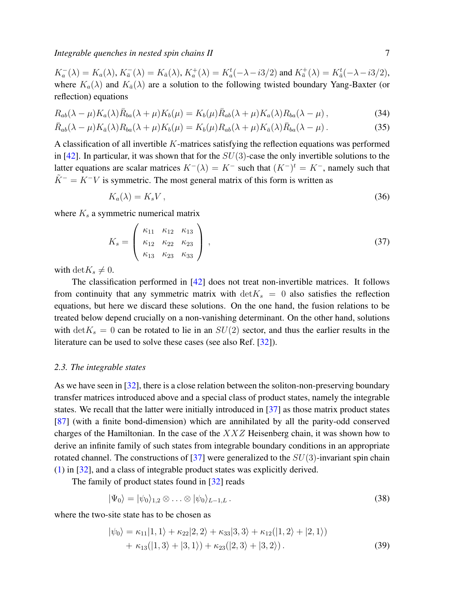$K_a^-(\lambda) = K_a(\lambda), K_{\bar{a}}^-(\lambda) = K_{\bar{a}}(\lambda), K_a^+(\lambda) = K_a^t(-\lambda - i3/2)$  and  $K_{\bar{a}}^+(\lambda) = K_{\bar{a}}^t(-\lambda - i3/2)$ , where  $K_a(\lambda)$  and  $K_{\bar{a}}(\lambda)$  are a solution to the following twisted boundary Yang-Baxter (or reflection) equations

<span id="page-6-4"></span>
$$
R_{ab}(\lambda - \mu)K_a(\lambda)\bar{R}_{ba}(\lambda + \mu)K_b(\mu) = K_b(\mu)\bar{R}_{ab}(\lambda + \mu)K_a(\lambda)R_{ba}(\lambda - \mu), \qquad (34)
$$

$$
\bar{R}_{ab}(\lambda - \mu)K_{\bar{a}}(\lambda)R_{ba}(\lambda + \mu)K_b(\mu) = K_b(\mu)R_{ab}(\lambda + \mu)K_{\bar{a}}(\lambda)\bar{R}_{ba}(\lambda - \mu). \tag{35}
$$

A classification of all invertible  $K$ -matrices satisfying the reflection equations was performed in [\[42\]](#page-29-20). In particular, it was shown that for the  $SU(3)$ -case the only invertible solutions to the latter equations are scalar matrices  $K^{-}(\lambda) = K^{-}$  such that  $(K^{-})^t = K^{-}$ , namely such that  $\tilde{K}^- = K^- V$  is symmetric. The most general matrix of this form is written as

<span id="page-6-3"></span>
$$
K_a(\lambda) = K_s V \,, \tag{36}
$$

where  $K_s$  a symmetric numerical matrix

<span id="page-6-1"></span>
$$
K_s = \begin{pmatrix} \kappa_{11} & \kappa_{12} & \kappa_{13} \\ \kappa_{12} & \kappa_{22} & \kappa_{23} \\ \kappa_{13} & \kappa_{23} & \kappa_{33} \end{pmatrix},
$$
 (37)

with det $K_s \neq 0$ .

The classification performed in [\[42\]](#page-29-20) does not treat non-invertible matrices. It follows from continuity that any symmetric matrix with  $\det K_s = 0$  also satisfies the reflection equations, but here we discard these solutions. On the one hand, the fusion relations to be treated below depend crucially on a non-vanishing determinant. On the other hand, solutions with  $\det K_s = 0$  can be rotated to lie in an  $SU(2)$  sector, and thus the earlier results in the literature can be used to solve these cases (see also Ref. [\[32\]](#page-29-1)).

#### <span id="page-6-0"></span>*2.3. The integrable states*

As we have seen in [\[32\]](#page-29-1), there is a close relation between the soliton-non-preserving boundary transfer matrices introduced above and a special class of product states, namely the integrable states. We recall that the latter were initially introduced in [\[37\]](#page-29-6) as those matrix product states [\[87\]](#page-30-8) (with a finite bond-dimension) which are annihilated by all the parity-odd conserved charges of the Hamiltonian. In the case of the  $XXZ$  Heisenberg chain, it was shown how to derive an infinite family of such states from integrable boundary conditions in an appropriate rotated channel. The constructions of [\[37\]](#page-29-6) were generalized to the  $SU(3)$ -invariant spin chain [\(1\)](#page-1-1) in [\[32\]](#page-29-1), and a class of integrable product states was explicitly derived.

The family of product states found in [\[32\]](#page-29-1) reads

$$
|\Psi_0\rangle = |\psi_0\rangle_{1,2} \otimes \ldots \otimes |\psi_0\rangle_{L-1,L} \,. \tag{38}
$$

where the two-site state has to be chosen as

<span id="page-6-2"></span>
$$
|\psi_0\rangle = \kappa_{11}|1,1\rangle + \kappa_{22}|2,2\rangle + \kappa_{33}|3,3\rangle + \kappa_{12}(|1,2\rangle + |2,1\rangle) + \kappa_{13}(|1,3\rangle + |3,1\rangle) + \kappa_{23}(|2,3\rangle + |3,2\rangle).
$$
 (39)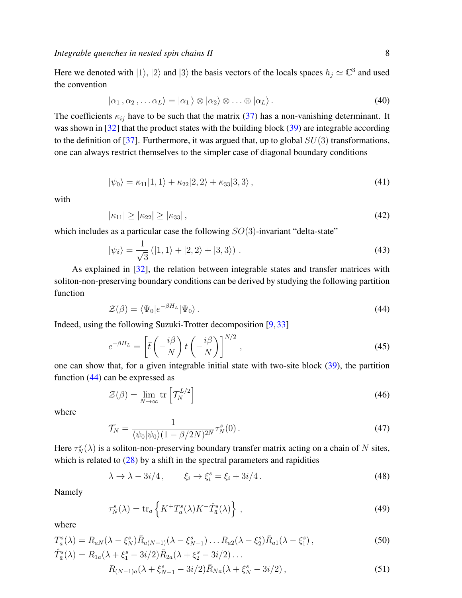Here we denoted with  $|1\rangle$ ,  $|2\rangle$  and  $|3\rangle$  the basis vectors of the locals spaces  $h_j \simeq \mathbb{C}^3$  and used the convention

$$
|\alpha_1, \alpha_2, \ldots \alpha_L\rangle = |\alpha_1\rangle \otimes |\alpha_2\rangle \otimes \ldots \otimes |\alpha_L\rangle.
$$
 (40)

The coefficients  $\kappa_{ij}$  have to be such that the matrix [\(37\)](#page-6-1) has a non-vanishing determinant. It was shown in [\[32\]](#page-29-1) that the product states with the building block [\(39\)](#page-6-2) are integrable according to the definition of [\[37\]](#page-29-6). Furthermore, it was argued that, up to global  $SU(3)$  transformations, one can always restrict themselves to the simpler case of diagonal boundary conditions

$$
|\psi_0\rangle = \kappa_{11}|1,1\rangle + \kappa_{22}|2,2\rangle + \kappa_{33}|3,3\rangle, \qquad (41)
$$

with

$$
|\kappa_{11}| \ge |\kappa_{22}| \ge |\kappa_{33}|,\tag{42}
$$

which includes as a particular case the following  $SO(3)$ -invariant "delta-state"

<span id="page-7-5"></span>
$$
|\psi_{\delta}\rangle = \frac{1}{\sqrt{3}} (|1,1\rangle + |2,2\rangle + |3,3\rangle). \tag{43}
$$

As explained in [\[32\]](#page-29-1), the relation between integrable states and transfer matrices with soliton-non-preserving boundary conditions can be derived by studying the following partition function

<span id="page-7-0"></span>
$$
\mathcal{Z}(\beta) = \langle \Psi_0 | e^{-\beta H_L} | \Psi_0 \rangle. \tag{44}
$$

Indeed, using the following Suzuki-Trotter decomposition [\[9,](#page-28-5) [33\]](#page-29-2)

$$
e^{-\beta H_L} = \left[\bar{t}\left(-\frac{i\beta}{N}\right)t\left(-\frac{i\beta}{N}\right)\right]^{N/2},\tag{45}
$$

one can show that, for a given integrable initial state with two-site block [\(39\)](#page-6-2), the partition function [\(44\)](#page-7-0) can be expressed as

<span id="page-7-3"></span>
$$
\mathcal{Z}(\beta) = \lim_{N \to \infty} \text{tr}\left[\mathcal{T}_N^{L/2}\right]
$$
\n(46)

where

<span id="page-7-4"></span>
$$
\mathcal{T}_N = \frac{1}{\langle \psi_0 | \psi_0 \rangle (1 - \beta / 2N)^{2N}} \tau_N^s(0) \,. \tag{47}
$$

Here  $\tau_N^s(\lambda)$  is a soliton-non-preserving boundary transfer matrix acting on a chain of N sites, which is related to  $(28)$  by a shift in the spectral parameters and rapidities

<span id="page-7-1"></span>
$$
\lambda \to \lambda - 3i/4 \,, \qquad \xi_i \to \xi_i^s = \xi_i + 3i/4 \,. \tag{48}
$$

Namely

<span id="page-7-6"></span><span id="page-7-2"></span>
$$
\tau_N^s(\lambda) = \text{tr}_a \left\{ K^+ T_a^s(\lambda) K^- \hat{T}_{\bar{a}}^s(\lambda) \right\},\tag{49}
$$

where

$$
T_a^s(\lambda) = R_{aN}(\lambda - \xi_N^s) \bar{R}_{a(N-1)}(\lambda - \xi_{N-1}^s) \dots R_{a2}(\lambda - \xi_2^s) \bar{R}_{a1}(\lambda - \xi_1^s) ,
$$
  
\n
$$
\hat{T}_a^s(\lambda) = R_{1a}(\lambda + \xi_1^s - 3i/2) \bar{R}_{2a}(\lambda + \xi_2^s - 3i/2) \dots
$$
\n(50)

$$
R_{(N-1)a}(\lambda + \xi_{N-1}^s - 3i/2)\bar{R}_{Na}(\lambda + \xi_N^s - 3i/2), \qquad (51)
$$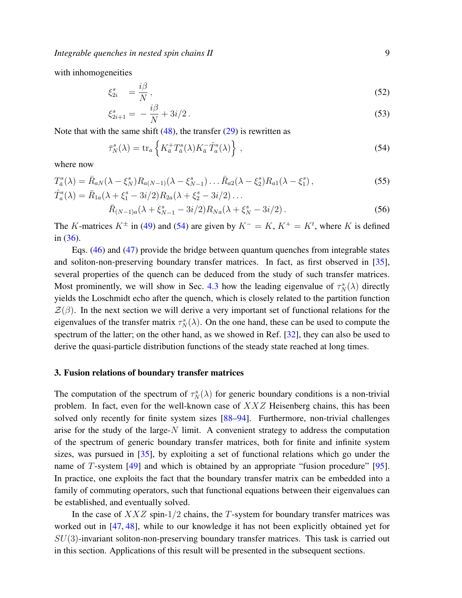*Integrable quenches in nested spin chains II*  $\overline{a}$  9

with inhomogeneities

<span id="page-8-2"></span>
$$
\xi_{2i}^s = \frac{i\beta}{N},\tag{52}
$$

$$
\xi_{2i+1}^s = -\frac{i\beta}{N} + 3i/2. \tag{53}
$$

Note that with the same shift  $(48)$ , the transfer  $(29)$  is rewritten as

<span id="page-8-1"></span>
$$
\bar{\tau}_N^s(\lambda) = \text{tr}_a \left\{ K_{\bar{a}}^+ T_{\bar{a}}^s(\lambda) K_{\bar{a}}^- \hat{T}_a^s(\lambda) \right\},\tag{54}
$$

where now

$$
T_{\bar{a}}^{s}(\lambda) = \bar{R}_{aN}(\lambda - \xi_N^s) R_{a(N-1)}(\lambda - \xi_{N-1}^s) \dots \bar{R}_{a2}(\lambda - \xi_2^s) R_{a1}(\lambda - \xi_1^s),
$$
  
\n
$$
\hat{T}_a^{s}(\lambda) = \bar{R}_{1a}(\lambda + \xi_1^s - 3i/2) R_{2a}(\lambda + \xi_2^s - 3i/2) \dots
$$
\n(55)

<span id="page-8-3"></span>
$$
\bar{R}_{(N-1)a}(\lambda + \xi_{N-1}^s - 3i/2)R_{Na}(\lambda + \xi_N^s - 3i/2).
$$
 (56)

The K-matrices  $K^{\pm}$  in [\(49\)](#page-7-2) and [\(54\)](#page-8-1) are given by  $K^- = K$ ,  $K^+ = K^t$ , where K is defined in [\(36\)](#page-6-3).

Eqs. [\(46\)](#page-7-3) and [\(47\)](#page-7-4) provide the bridge between quantum quenches from integrable states and soliton-non-preserving boundary transfer matrices. In fact, as first observed in [\[35\]](#page-29-4), several properties of the quench can be deduced from the study of such transfer matrices. Most prominently, we will show in Sec. [4.3](#page-24-0) how the leading eigenvalue of  $\tau_N^s(\lambda)$  directly yields the Loschmidt echo after the quench, which is closely related to the partition function  $\mathcal{Z}(\beta)$ . In the next section we will derive a very important set of functional relations for the eigenvalues of the transfer matrix  $\tau_N^s(\lambda)$ . On the one hand, these can be used to compute the spectrum of the latter; on the other hand, as we showed in Ref. [\[32\]](#page-29-1), they can also be used to derive the quasi-particle distribution functions of the steady state reached at long times.

#### <span id="page-8-0"></span>3. Fusion relations of boundary transfer matrices

The computation of the spectrum of  $\tau_N^s(\lambda)$  for generic boundary conditions is a non-trivial problem. In fact, even for the well-known case of XXZ Heisenberg chains, this has been solved only recently for finite system sizes [\[88](#page-30-9)[–94\]](#page-30-10). Furthermore, non-trivial challenges arise for the study of the large- $N$  limit. A convenient strategy to address the computation of the spectrum of generic boundary transfer matrices, both for finite and infinite system sizes, was pursued in [\[35\]](#page-29-4), by exploiting a set of functional relations which go under the name of  $T$ -system  $[49]$  and which is obtained by an appropriate "fusion procedure"  $[95]$ . In practice, one exploits the fact that the boundary transfer matrix can be embedded into a family of commuting operators, such that functional equations between their eigenvalues can be established, and eventually solved.

In the case of  $XXZ$  spin-1/2 chains, the T-system for boundary transfer matrices was worked out in [\[47,](#page-29-14) [48\]](#page-29-15), while to our knowledge it has not been explicitly obtained yet for  $SU(3)$ -invariant soliton-non-preserving boundary transfer matrices. This task is carried out in this section. Applications of this result will be presented in the subsequent sections.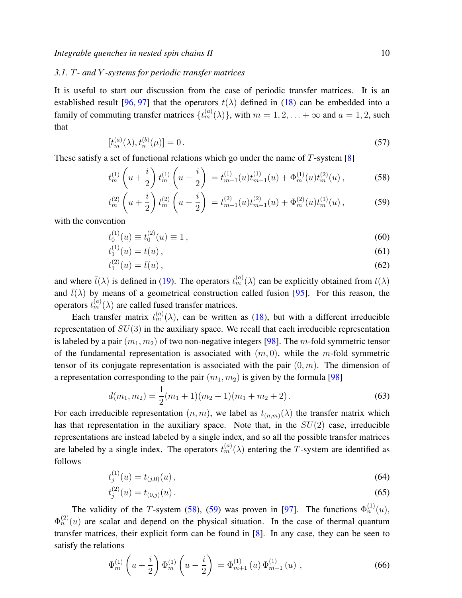# <span id="page-9-0"></span>*3.1.* T*- and* Y *-systems for periodic transfer matrices*

It is useful to start our discussion from the case of periodic transfer matrices. It is an established result [\[96,](#page-30-12) [97\]](#page-30-13) that the operators  $t(\lambda)$  defined in [\(18\)](#page-4-0) can be embedded into a family of commuting transfer matrices  $\{t_m^{(a)}(\lambda)\}\$ , with  $m = 1, 2, \ldots + \infty$  and  $a = 1, 2$ , such that

$$
[t_m^{(a)}(\lambda), t_n^{(b)}(\mu)] = 0.
$$
\n(57)

These satisfy a set of functional relations which go under the name of  $T$ -system [\[8\]](#page-28-4)

<span id="page-9-1"></span>
$$
t_m^{(1)}\left(u+\frac{i}{2}\right)t_m^{(1)}\left(u-\frac{i}{2}\right) = t_{m+1}^{(1)}(u)t_{m-1}^{(1)}(u) + \Phi_m^{(1)}(u)t_m^{(2)}(u)\,,\tag{58}
$$

$$
t_m^{(2)}\left(u+\frac{i}{2}\right)t_m^{(2)}\left(u-\frac{i}{2}\right) = t_{m+1}^{(2)}(u)t_{m-1}^{(2)}(u) + \Phi_m^{(2)}(u)t_m^{(1)}(u)\,,\tag{59}
$$

with the convention

$$
t_0^{(1)}(u) \equiv t_0^{(2)}(u) \equiv 1,
$$
\n(60)

$$
t_1^{(1)}(u) = t(u),\tag{61}
$$

$$
t_1^{(2)}(u) = \bar{t}(u),\tag{62}
$$

and where  $\bar{t}(\lambda)$  is defined in [\(19\)](#page-4-0). The operators  $t_m^{(a)}(\lambda)$  can be explicitly obtained from  $t(\lambda)$ and  $\bar{t}(\lambda)$  by means of a geometrical construction called fusion [\[95\]](#page-30-11). For this reason, the operators  $t_m^{(a)}(\lambda)$  are called fused transfer matrices.

Each transfer matrix  $t_m^{(a)}(\lambda)$ , can be written as [\(18\)](#page-4-0), but with a different irreducible representation of  $SU(3)$  in the auxiliary space. We recall that each irreducible representation is labeled by a pair  $(m_1, m_2)$  of two non-negative integers [\[98\]](#page-30-14). The m-fold symmetric tensor of the fundamental representation is associated with  $(m, 0)$ , while the m-fold symmetric tensor of its conjugate representation is associated with the pair  $(0, m)$ . The dimension of a representation corresponding to the pair  $(m_1, m_2)$  is given by the formula [\[98\]](#page-30-14)

$$
d(m_1, m_2) = \frac{1}{2}(m_1 + 1)(m_2 + 1)(m_1 + m_2 + 2).
$$
 (63)

For each irreducible representation  $(n, m)$ , we label as  $t_{(n,m)}(\lambda)$  the transfer matrix which has that representation in the auxiliary space. Note that, in the  $SU(2)$  case, irreducible representations are instead labeled by a single index, and so all the possible transfer matrices are labeled by a single index. The operators  $t_m^{(a)}(\lambda)$  entering the T-system are identified as follows

$$
t_j^{(1)}(u) = t_{(j,0)}(u) \,, \tag{64}
$$

$$
t_j^{(2)}(u) = t_{(0,j)}(u) \,. \tag{65}
$$

The validity of the T-system [\(58\)](#page-9-1), [\(59\)](#page-9-1) was proven in [\[97\]](#page-30-13). The functions  $\Phi_n^{(1)}(u)$ ,  $\Phi_n^{(2)}(u)$  are scalar and depend on the physical situation. In the case of thermal quantum transfer matrices, their explicit form can be found in [\[8\]](#page-28-4). In any case, they can be seen to satisfy the relations

<span id="page-9-2"></span>
$$
\Phi_{m}^{(1)}\left(u+\frac{i}{2}\right)\Phi_{m}^{(1)}\left(u-\frac{i}{2}\right) = \Phi_{m+1}^{(1)}\left(u\right)\Phi_{m-1}^{(1)}\left(u\right),\tag{66}
$$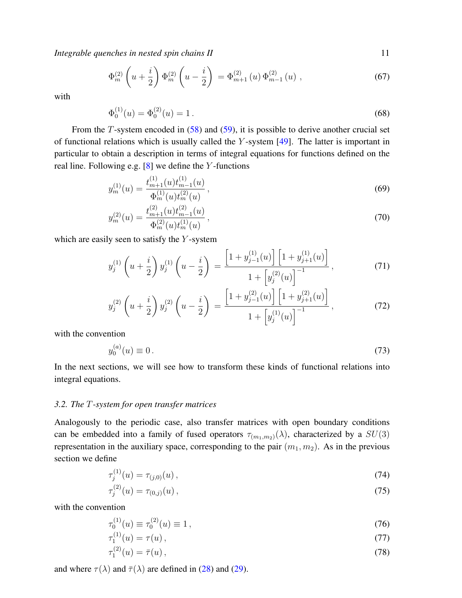$$
\Phi_m^{(2)}\left(u+\frac{i}{2}\right)\Phi_m^{(2)}\left(u-\frac{i}{2}\right) = \Phi_{m+1}^{(2)}\left(u\right)\Phi_{m-1}^{(2)}\left(u\right),\tag{67}
$$

with

$$
\Phi_0^{(1)}(u) = \Phi_0^{(2)}(u) = 1.
$$
\n(68)

From the  $T$ -system encoded in  $(58)$  and  $(59)$ , it is possible to derive another crucial set of functional relations which is usually called the  $Y$ -system  $[49]$ . The latter is important in particular to obtain a description in terms of integral equations for functions defined on the real line. Following e.g.  $[8]$  we define the Y-functions

<span id="page-10-2"></span>
$$
y_m^{(1)}(u) = \frac{t_{m+1}^{(1)}(u)t_{m-1}^{(1)}(u)}{\Phi_m^{(1)}(u)t_m^{(2)}(u)},
$$
\n(69)

$$
y_m^{(2)}(u) = \frac{t_{m+1}^{(2)}(u)t_{m-1}^{(2)}(u)}{\Phi_m^{(2)}(u)t_m^{(1)}(u)},
$$
\n(70)

which are easily seen to satisfy the  $Y$ -system

<span id="page-10-1"></span>
$$
y_j^{(1)}\left(u+\frac{i}{2}\right)y_j^{(1)}\left(u-\frac{i}{2}\right) = \frac{\left[1+y_{j-1}^{(1)}(u)\right]\left[1+y_{j+1}^{(1)}(u)\right]}{1+\left[y_j^{(2)}(u)\right]^{-1}},\tag{71}
$$

$$
y_j^{(2)}\left(u+\frac{i}{2}\right)y_j^{(2)}\left(u-\frac{i}{2}\right) = \frac{\left[1+y_{j-1}^{(2)}(u)\right]\left[1+y_{j+1}^{(2)}(u)\right]}{1+\left[y_j^{(1)}(u)\right]^{-1}},\tag{72}
$$

with the convention

 $\sim$ 

$$
y_0^{(a)}(u) \equiv 0. \t\t(73)
$$

In the next sections, we will see how to transform these kinds of functional relations into integral equations.

## <span id="page-10-0"></span>*3.2. The* T*-system for open transfer matrices*

Analogously to the periodic case, also transfer matrices with open boundary conditions can be embedded into a family of fused operators  $\tau_{(m_1,m_2)}(\lambda)$ , characterized by a  $SU(3)$ representation in the auxiliary space, corresponding to the pair  $(m_1, m_2)$ . As in the previous section we define

$$
\tau_j^{(1)}(u) = \tau_{(j,0)}(u) \,, \tag{74}
$$

$$
\tau_j^{(2)}(u) = \tau_{(0,j)}(u) \,, \tag{75}
$$

with the convention

$$
\tau_0^{(1)}(u) \equiv \tau_0^{(2)}(u) \equiv 1\,,\tag{76}
$$

$$
\tau_1^{(1)}(u) = \tau(u) \,, \tag{77}
$$

$$
\tau_1^{(2)}(u) = \bar{\tau}(u),\tag{78}
$$

and where  $\tau(\lambda)$  and  $\bar{\tau}(\lambda)$  are defined in [\(28\)](#page-5-1) and [\(29\)](#page-5-1).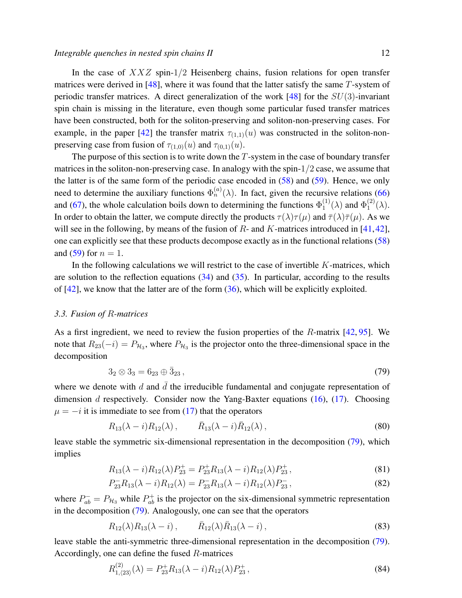In the case of  $XXZ$  spin-1/2 Heisenberg chains, fusion relations for open transfer matrices were derived in  $[48]$ , where it was found that the latter satisfy the same T-system of periodic transfer matrices. A direct generalization of the work [\[48\]](#page-29-15) for the  $SU(3)$ -invariant spin chain is missing in the literature, even though some particular fused transfer matrices have been constructed, both for the soliton-preserving and soliton-non-preserving cases. For example, in the paper [\[42\]](#page-29-20) the transfer matrix  $\tau_{(1,1)}(u)$  was constructed in the soliton-nonpreserving case from fusion of  $\tau_{(1,0)}(u)$  and  $\tau_{(0,1)}(u)$ .

The purpose of this section is to write down the  $T$ -system in the case of boundary transfer matrices in the soliton-non-preserving case. In analogy with the spin- $1/2$  case, we assume that the latter is of the same form of the periodic case encoded in [\(58\)](#page-9-1) and [\(59\)](#page-9-1). Hence, we only need to determine the auxiliary functions  $\Phi_n^{(a)}(\lambda)$ . In fact, given the recursive relations [\(66\)](#page-9-2) and [\(67\)](#page-9-2), the whole calculation boils down to determining the functions  $\Phi_1^{(1)}$  $_{1}^{(1)}(\lambda)$  and  $\Phi_{1}^{(2)}$  $\binom{2}{1}$   $(\lambda)$ . In order to obtain the latter, we compute directly the products  $\tau(\lambda)\tau(\mu)$  and  $\bar{\tau}(\lambda)\bar{\tau}(\mu)$ . As we will see in the following, by means of the fusion of  $R$ - and  $K$ -matrices introduced in [\[41,](#page-29-9)[42\]](#page-29-20), one can explicitly see that these products decompose exactly as in the functional relations [\(58\)](#page-9-1) and [\(59\)](#page-9-1) for  $n = 1$ .

In the following calculations we will restrict to the case of invertible  $K$ -matrices, which are solution to the reflection equations  $(34)$  and  $(35)$ . In particular, according to the results of  $[42]$ , we know that the latter are of the form  $(36)$ , which will be explicitly exploited.

#### <span id="page-11-0"></span>*3.3. Fusion of* R*-matrices*

As a first ingredient, we need to review the fusion properties of the R-matrix [\[42,](#page-29-20) [95\]](#page-30-11). We note that  $R_{23}(-i) = P_{\mathcal{H}_3}$ , where  $P_{\mathcal{H}_3}$  is the projector onto the three-dimensional space in the decomposition

<span id="page-11-1"></span>
$$
3_2 \otimes 3_3 = 6_{23} \oplus \bar{3}_{23}, \tag{79}
$$

where we denote with d and  $\bar{d}$  the irreducible fundamental and conjugate representation of dimension d respectively. Consider now the Yang-Baxter equations  $(16)$ ,  $(17)$ . Choosing  $\mu = -i$  it is immediate to see from [\(17\)](#page-4-3) that the operators

$$
R_{13}(\lambda - i)R_{12}(\lambda), \qquad \bar{R}_{13}(\lambda - i)\bar{R}_{12}(\lambda), \qquad (80)
$$

leave stable the symmetric six-dimensional representation in the decomposition [\(79\)](#page-11-1), which implies

<span id="page-11-3"></span>
$$
R_{13}(\lambda - i)R_{12}(\lambda)P_{23}^{+} = P_{23}^{+}R_{13}(\lambda - i)R_{12}(\lambda)P_{23}^{+},\tag{81}
$$

$$
P_{23}^- R_{13}(\lambda - i) R_{12}(\lambda) = P_{23}^- R_{13}(\lambda - i) R_{12}(\lambda) P_{23}^-,\tag{82}
$$

where  $P_{ab}^- = P_{H_3}$  while  $P_{ab}^+$  is the projector on the six-dimensional symmetric representation in the decomposition [\(79\)](#page-11-1). Analogously, one can see that the operators

$$
R_{12}(\lambda)R_{13}(\lambda - i), \qquad \bar{R}_{12}(\lambda)\bar{R}_{13}(\lambda - i), \qquad (83)
$$

leave stable the anti-symmetric three-dimensional representation in the decomposition [\(79\)](#page-11-1). Accordingly, one can define the fused R-matrices

<span id="page-11-2"></span>
$$
R_{1,(23)}^{(2)}(\lambda) = P_{23}^+ R_{13}(\lambda - i) R_{12}(\lambda) P_{23}^+, \tag{84}
$$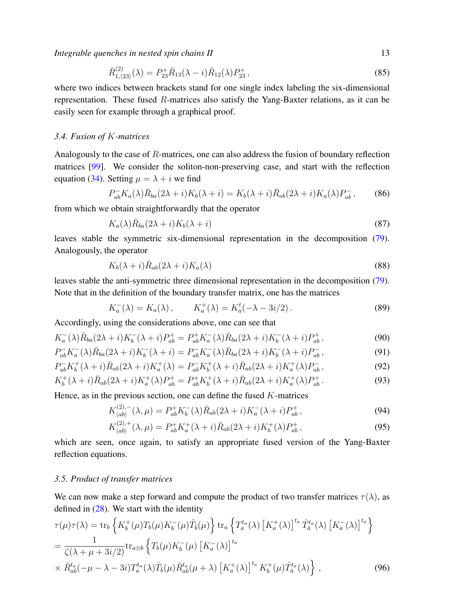$$
\bar{R}_{1,(23)}^{(2)}(\lambda) = P_{23}^{+} \bar{R}_{13}(\lambda - i) \bar{R}_{12}(\lambda) P_{23}^{+}, \qquad (85)
$$

where two indices between brackets stand for one single index labeling the six-dimensional representation. These fused  $R$ -matrices also satisfy the Yang-Baxter relations, as it can be easily seen for example through a graphical proof.

# <span id="page-12-0"></span>*3.4. Fusion of* K*-matrices*

Analogously to the case of R-matrices, one can also address the fusion of boundary reflection matrices [\[99\]](#page-30-15). We consider the soliton-non-preserving case, and start with the reflection equation [\(34\)](#page-6-4). Setting  $\mu = \lambda + i$  we find

$$
P_{ab}^- K_a(\lambda) \bar{R}_{ba}(2\lambda + i) K_b(\lambda + i) = K_b(\lambda + i) \bar{R}_{ab}(2\lambda + i) K_a(\lambda) P_{ab}^-, \tag{86}
$$

from which we obtain straightforwardly that the operator

$$
K_a(\lambda)\bar{R}_{ba}(2\lambda+i)K_b(\lambda+i)
$$
\n(87)

leaves stable the symmetric six-dimensional representation in the decomposition [\(79\)](#page-11-1). Analogously, the operator

$$
K_b(\lambda + i)\bar{R}_{ab}(2\lambda + i)K_a(\lambda) \tag{88}
$$

leaves stable the anti-symmetric three dimensional representation in the decomposition [\(79\)](#page-11-1). Note that in the definition of the boundary transfer matrix, one has the matrices

$$
K_a^-(\lambda) = K_a(\lambda), \qquad K_a^+(\lambda) = K_a^t(-\lambda - 3i/2). \tag{89}
$$

Accordingly, using the considerations above, one can see that

$$
K_a^-(\lambda)\bar{R}_{ba}(2\lambda+i)K_b^-(\lambda+i)P_{ab}^+ = P_{ab}^+K_a^-(\lambda)\bar{R}_{ba}(2\lambda+i)K_b^-(\lambda+i)P_{ab}^+, \tag{90}
$$

$$
P_{ab}^- K_a^- (\lambda) \bar{R}_{ba} (2\lambda + i) K_b^- (\lambda + i) = P_{ab}^- K_a^- (\lambda) \bar{R}_{ba} (2\lambda + i) K_b^- (\lambda + i) P_{ab}^-, \tag{91}
$$

$$
P_{ab}^- K_b^+ (\lambda + i) \bar{R}_{ab} (2\lambda + i) K_a^+ (\lambda) = P_{ab}^- K_b^+ (\lambda + i) \bar{R}_{ab} (2\lambda + i) K_a^+ (\lambda) P_{ab}^- , \tag{92}
$$

$$
K_b^+(\lambda + i)\bar{R}_{ab}(2\lambda + i)K_a^+(\lambda)P_{ab}^+ = P_{ab}^+K_b^+(\lambda + i)\bar{R}_{ab}(2\lambda + i)K_a^+(\lambda)P_{ab}^+\,. \tag{93}
$$

Hence, as in the previous section, one can define the fused  $K$ -matrices

<span id="page-12-3"></span>
$$
K_{\langle ab \rangle}^{(2),-}(\lambda,\mu) = P_{ab}^+ K_b^-(\lambda) \bar{R}_{ab} (2\lambda + i) K_a^-(\lambda + i) P_{ab}^+, \tag{94}
$$

$$
K_{\langle ab \rangle}^{(2),+}(\lambda,\mu) = P_{ab}^+ K_a^+(\lambda + i) \bar{R}_{ab}(2\lambda + i) K_b^+(\lambda) P_{ab}^+, \tag{95}
$$

which are seen, once again, to satisfy an appropriate fused version of the Yang-Baxter reflection equations.

## <span id="page-12-1"></span>*3.5. Product of transfer matrices*

We can now make a step forward and compute the product of two transfer matrices  $\tau(\lambda)$ , as defined in  $(28)$ . We start with the identity

<span id="page-12-2"></span>
$$
\tau(\mu)\tau(\lambda) = \text{tr}_b \left\{ K_b^+(\mu) T_b(\mu) K_b^-(\mu) \hat{T}_b(\mu) \right\} \text{tr}_a \left\{ T_a^{t_a}(\lambda) \left[ K_a^+(\lambda) \right]^{t_a} \hat{T}_a^{t_a}(\lambda) \left[ K_a^-(\lambda) \right]^{t_a} \right\}
$$
\n
$$
= \frac{1}{\zeta(\lambda + \mu + 3i/2)} \text{tr}_{a\otimes b} \left\{ T_b(\mu) K_b^-(\mu) \left[ K_a^-(\lambda) \right]^{t_a} \right\}
$$
\n
$$
\times \bar{R}_{ab}^{t_a}(-\mu - \lambda - 3i) T_a^{t_a}(\lambda) \hat{T}_b(\mu) \bar{R}_{ab}^{t_a}(\mu + \lambda) \left[ K_a^+(\lambda) \right]^{t_a} K_b^+(\mu) \hat{T}_a^{t_a}(\lambda) \right\} ,
$$
\n(96)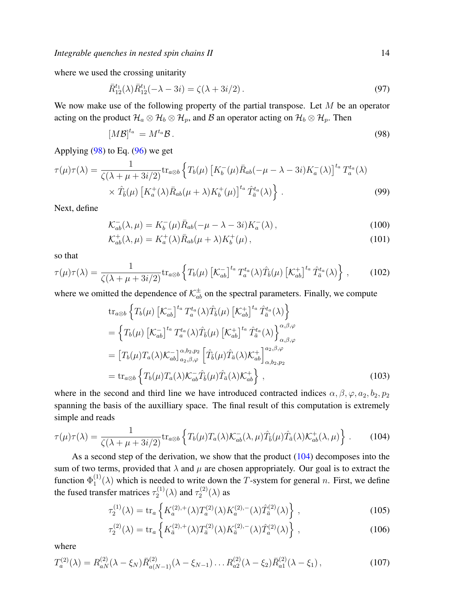where we used the crossing unitarity

$$
\bar{R}_{12}^{t_1}(\lambda)\bar{R}_{12}^{t_1}(-\lambda - 3i) = \zeta(\lambda + 3i/2). \tag{97}
$$

We now make use of the following property of the partial transpose. Let  $M$  be an operator acting on the product  $\mathcal{H}_a \otimes \mathcal{H}_b \otimes \mathcal{H}_p$ , and B an operator acting on  $\mathcal{H}_b \otimes \mathcal{H}_p$ . Then

<span id="page-13-0"></span>
$$
[M\mathcal{B}]^{t_a} = M^{t_a}\mathcal{B} \,. \tag{98}
$$

Applying [\(98\)](#page-13-0) to Eq. [\(96\)](#page-12-2) we get

$$
\tau(\mu)\tau(\lambda) = \frac{1}{\zeta(\lambda + \mu + 3i/2)} \text{tr}_{a\otimes b} \left\{ T_b(\mu) \left[ K_b^-(\mu) \bar{R}_{ab}(-\mu - \lambda - 3i) K_a^-(\lambda) \right]^{t_a} T_a^{t_a}(\lambda) \right\} \times \hat{T}_b(\mu) \left[ K_a^+(\lambda) \bar{R}_{ab}(\mu + \lambda) K_b^+(\mu) \right]^{t_a} \hat{T}_a^{t_a}(\lambda) \right\} \,. \tag{99}
$$

Next, define

$$
\mathcal{K}_{ab}^{-}(\lambda,\mu) = K_b^{-}(\mu)\bar{R}_{ab}(-\mu - \lambda - 3i)K_a^{-}(\lambda), \qquad (100)
$$

$$
\mathcal{K}_{ab}^+(\lambda,\mu) = K_a^+(\lambda)\bar{R}_{ab}(\mu+\lambda)K_b^+(\mu),\qquad(101)
$$

so that

$$
\tau(\mu)\tau(\lambda) = \frac{1}{\zeta(\lambda + \mu + 3i/2)} \text{tr}_{a\otimes b} \left\{ T_b(\mu) \left[ \mathcal{K}_{ab}^{-} \right]^{t_a} T_a^{t_a}(\lambda) \hat{T}_b(\mu) \left[ \mathcal{K}_{ab}^{+} \right]^{t_a} \hat{T}_{\bar{a}}^{t_a}(\lambda) \right\},\tag{102}
$$

where we omitted the dependence of  $\mathcal{K}_{ab}^{\pm}$  on the spectral parameters. Finally, we compute

$$
\begin{split}\n&\text{tr}_{a\otimes b}\left\{T_b(\mu)\left[\mathcal{K}_{ab}^-\right]^{t_a}T_a^{t_a}(\lambda)\hat{T}_b(\mu)\left[\mathcal{K}_{ab}^+\right]^{t_a}\hat{T}_a^{t_a}(\lambda)\right\} \\
&=\left\{T_b(\mu)\left[\mathcal{K}_{ab}^-\right]^{t_a}T_a^{t_a}(\lambda)\hat{T}_b(\mu)\left[\mathcal{K}_{ab}^+\right]^{t_a}\hat{T}_a^{t_a}(\lambda)\right\}_{\alpha,\beta,\varphi}^{\alpha,\beta,\varphi} \\
&=\left[T_b(\mu)T_a(\lambda)\mathcal{K}_{ab}^-\right]_{a_2,\beta,\varphi}^{\alpha,b_2,p_2}\left[\hat{T}_b(\mu)\hat{T}_a(\lambda)\mathcal{K}_{ab}^+\right]_{\alpha,b_2,p_2}^{a_2,\beta,\varphi} \\
&=\text{tr}_{a\otimes b}\left\{T_b(\mu)T_a(\lambda)\mathcal{K}_{ab}^-\hat{T}_b(\mu)\hat{T}_a(\lambda)\mathcal{K}_{ab}^+\right\}\,,\n\end{split} \tag{103}
$$

where in the second and third line we have introduced contracted indices  $\alpha, \beta, \varphi, a_2, b_2, p_2$ spanning the basis of the auxilliary space. The final result of this computation is extremely simple and reads

<span id="page-13-1"></span>
$$
\tau(\mu)\tau(\lambda) = \frac{1}{\zeta(\lambda + \mu + 3i/2)} \text{tr}_{a\otimes b} \left\{ T_b(\mu) T_a(\lambda) \mathcal{K}_{ab}^-(\lambda, \mu) \hat{T}_{\bar{b}}(\mu) \hat{T}_{\bar{a}}(\lambda) \mathcal{K}_{ab}^+(\lambda, \mu) \right\} \,. \tag{104}
$$

As a second step of the derivation, we show that the product  $(104)$  decomposes into the sum of two terms, provided that  $\lambda$  and  $\mu$  are chosen appropriately. Our goal is to extract the function  $\Phi_1^{(1)}$  $T_1^{(1)}(\lambda)$  which is needed to write down the T-system for general n. First, we define the fused transfer matrices  $\tau_2^{(1)}$  $\tau_2^{(1)}(\lambda)$  and  $\tau_2^{(2)}$  $\mathfrak{a}_2^{(2)}(\lambda)$  as

<span id="page-13-2"></span>
$$
\tau_2^{(1)}(\lambda) = \text{tr}_a \left\{ K_a^{(2),+}(\lambda) T_a^{(2)}(\lambda) K_a^{(2),-}(\lambda) \hat{T}_a^{(2)}(\lambda) \right\},\tag{105}
$$

$$
\tau_2^{(2)}(\lambda) = \text{tr}_a \left\{ K_{\bar{a}}^{(2),+}(\lambda) T_{\bar{a}}^{(2)}(\lambda) K_{\bar{a}}^{(2),-}(\lambda) \hat{T}_a^{(2)}(\lambda) \right\},\tag{106}
$$

where

$$
T_a^{(2)}(\lambda) = R_{aN}^{(2)}(\lambda - \xi_N) \bar{R}_{a(N-1)}^{(2)}(\lambda - \xi_{N-1}) \dots R_{a2}^{(2)}(\lambda - \xi_2) \bar{R}_{a1}^{(2)}(\lambda - \xi_1) ,
$$
 (107)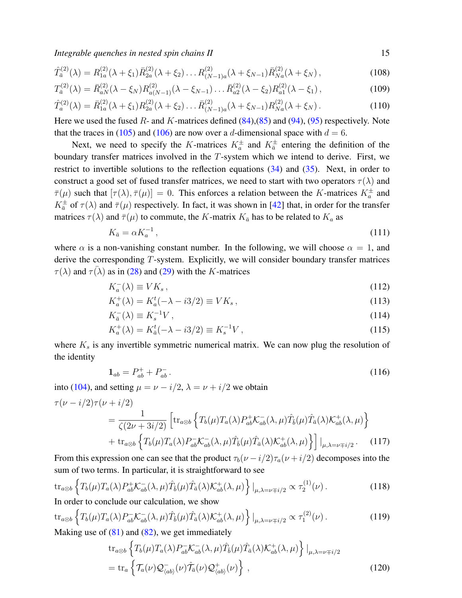$$
\hat{T}_a^{(2)}(\lambda) = R_{1a}^{(2)}(\lambda + \xi_1) \bar{R}_{2a}^{(2)}(\lambda + \xi_2) \dots R_{(N-1)a}^{(2)}(\lambda + \xi_{N-1}) \bar{R}_{Na}^{(2)}(\lambda + \xi_N) ,
$$
\n(108)

$$
T_{\bar{a}}^{(2)}(\lambda) = \bar{R}_{aN}^{(2)}(\lambda - \xi_N) R_{a(N-1)}^{(2)}(\lambda - \xi_{N-1}) \dots \bar{R}_{a2}^{(2)}(\lambda - \xi_2) R_{a1}^{(2)}(\lambda - \xi_1), \tag{109}
$$

$$
\hat{T}_a^{(2)}(\lambda) = \bar{R}_{1a}^{(2)}(\lambda + \xi_1) R_{2a}^{(2)}(\lambda + \xi_2) \dots \bar{R}_{(N-1)a}^{(2)}(\lambda + \xi_{N-1}) R_{Na}^{(2)}(\lambda + \xi_N).
$$
\n(110)

Here we used the fused  $R$ - and  $K$ -matrices defined [\(84\)](#page-11-2),[\(85\)](#page-11-2) and [\(94\)](#page-12-3), [\(95\)](#page-12-3) respectively. Note that the traces in [\(105\)](#page-13-2) and [\(106\)](#page-13-2) are now over a d-dimensional space with  $d = 6$ .

Next, we need to specify the K-matrices  $K_a^{\pm}$  and  $K_{\overline{a}}^{\pm}$  entering the definition of the boundary transfer matrices involved in the T-system which we intend to derive. First, we restrict to invertible solutions to the reflection equations [\(34\)](#page-6-4) and [\(35\)](#page-6-4). Next, in order to construct a good set of fused transfer matrices, we need to start with two operators  $\tau(\lambda)$  and  $\bar{\tau}(\mu)$  such that  $[\tau(\lambda), \bar{\tau}(\mu)] = 0$ . This enforces a relation between the K-matrices  $K_a^{\pm}$  and  $K_{\bar{a}}^{\pm}$  of  $\tau(\lambda)$  and  $\bar{\tau}(\mu)$  respectively. In fact, it was shown in [\[42\]](#page-29-20) that, in order for the transfer matrices  $\tau(\lambda)$  and  $\bar{\tau}(\mu)$  to commute, the K-matrix  $K_{\bar{a}}$  has to be related to  $K_a$  as

<span id="page-14-0"></span>
$$
K_{\bar{a}} = \alpha K_a^{-1},\tag{111}
$$

where  $\alpha$  is a non-vanishing constant number. In the following, we will choose  $\alpha = 1$ , and derive the corresponding T-system. Explicitly, we will consider boundary transfer matrices  $\tau(\lambda)$  and  $\tau(\lambda)$  as in [\(28\)](#page-5-1) and [\(29\)](#page-5-1) with the K-matrices

$$
K_a^-(\lambda) \equiv V K_s \,, \tag{112}
$$

$$
K_a^+(\lambda) = K_a^t(-\lambda - i3/2) \equiv V K_s, \qquad (113)
$$

$$
K_{\bar{a}}^{-}(\lambda) \equiv K_{s}^{-1}V\,,\tag{114}
$$

$$
K_a^+(\lambda) = K_{\bar{a}}^t(-\lambda - i3/2) \equiv K_s^{-1}V , \qquad (115)
$$

where  $K<sub>s</sub>$  is any invertible symmetric numerical matrix. We can now plug the resolution of the identity

$$
\mathbf{1}_{ab} = P_{ab}^+ + P_{ab}^- \,. \tag{116}
$$

into [\(104\)](#page-13-1), and setting  $\mu = \nu - i/2$ ,  $\lambda = \nu + i/2$  we obtain

$$
\tau(\nu - i/2)\tau(\nu + i/2)
$$
\n
$$
= \frac{1}{\zeta(2\nu + 3i/2)} \left[ \operatorname{tr}_{a\otimes b} \left\{ T_b(\mu) T_a(\lambda) P_{ab}^+ \mathcal{K}_{ab}^-(\lambda, \mu) \hat{T}_b(\mu) \hat{T}_a(\lambda) \mathcal{K}_{ab}^+(\lambda, \mu) \right\} + \operatorname{tr}_{a\otimes b} \left\{ T_b(\mu) T_a(\lambda) P_{ab}^- \mathcal{K}_{ab}^-(\lambda, \mu) \hat{T}_b(\mu) \hat{T}_a(\lambda) \mathcal{K}_{ab}^+(\lambda, \mu) \right\} \right] |_{\mu, \lambda = \nu \mp i/2} . \tag{117}
$$

From this expression one can see that the product  $\tau_b(\nu - i/2)\tau_a(\nu + i/2)$  decomposes into the sum of two terms. In particular, it is straightforward to see

$$
\operatorname{tr}_{a\otimes b}\left\{T_b(\mu)T_a(\lambda)P_{ab}^+\mathcal{K}_{ab}^-(\lambda,\mu)\hat{T}_{\bar{b}}(\mu)\hat{T}_{\bar{a}}(\lambda)\mathcal{K}_{ab}^+(\lambda,\mu)\right\}\big|_{\mu,\lambda=\nu\mp i/2} \propto \tau_2^{(1)}(\nu).
$$
\nIn order to conclude our calculation, we show.

In order to conclude our calculation, we show

$$
\operatorname{tr}_{a\otimes b}\left\{T_b(\mu)T_a(\lambda)P_{ab}^-\mathcal{K}_{ab}^-(\lambda,\mu)\hat{T}_{\bar{b}}(\mu)\hat{T}_{\bar{a}}(\lambda)\mathcal{K}_{ab}^+(\lambda,\mu)\right\}\big|_{\mu,\lambda=\nu\mp i/2} \propto \tau_1^{(2)}(\nu). \tag{119}
$$

Making use of [\(81\)](#page-11-3) and [\(82\)](#page-11-3), we get immediately

$$
\text{tr}_{a\otimes b} \left\{ T_b(\mu) T_a(\lambda) P_{ab}^- \mathcal{K}_{ab}^- (\lambda, \mu) \hat{T}_b(\mu) \hat{T}_a(\lambda) \mathcal{K}_{ab}^+(\lambda, \mu) \right\} |_{\mu, \lambda = \nu \mp i/2}
$$
\n
$$
= \text{tr}_a \left\{ \mathcal{T}_a(\nu) \mathcal{Q}_{\langle ab \rangle}^- (\nu) \hat{\mathcal{T}}_a(\nu) \mathcal{Q}_{\langle ab \rangle}^+(\nu) \right\} \,, \tag{120}
$$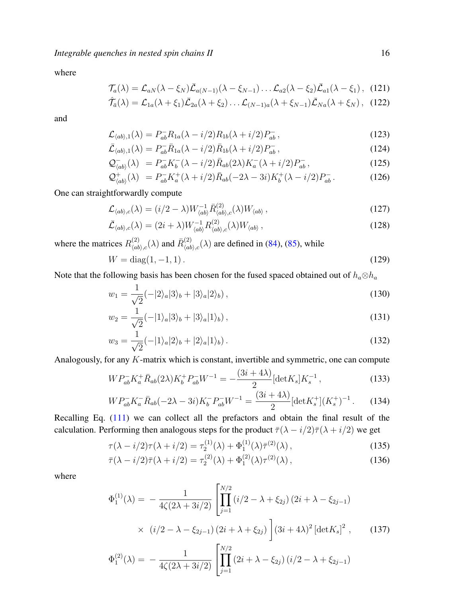where

$$
\mathcal{T}_a(\lambda) = \mathcal{L}_{aN}(\lambda - \xi_N)\bar{\mathcal{L}}_{a(N-1)}(\lambda - \xi_{N-1})\dots\mathcal{L}_{a2}(\lambda - \xi_2)\bar{\mathcal{L}}_{a1}(\lambda - \xi_1), \quad (121)
$$

$$
\hat{\mathcal{T}}_{\bar{a}}(\lambda) = \mathcal{L}_{1a}(\lambda + \xi_1)\bar{\mathcal{L}}_{2a}(\lambda + \xi_2)\ldots\mathcal{L}_{(N-1)a}(\lambda + \xi_{N-1})\bar{\mathcal{L}}_{Na}(\lambda + \xi_N), \quad (122)
$$

and

$$
\mathcal{L}_{\langle ab \rangle,1}(\lambda) = P_{ab}^- R_{1a}(\lambda - i/2) R_{1b}(\lambda + i/2) P_{ab}^-,
$$
\n(123)

$$
\bar{\mathcal{L}}_{\langle ab \rangle,1}(\lambda) = P_{ab}^- \bar{R}_{1a}(\lambda - i/2) \bar{R}_{1b}(\lambda + i/2) P_{ab}^-,
$$
\n(124)

$$
\mathcal{Q}_{\langle ab \rangle}^{-}(\lambda) = P_{ab}^{-} K_b^{-} (\lambda - i/2) \bar{R}_{ab}(2\lambda) K_a^{-} (\lambda + i/2) P_{ab}^{-}, \qquad (125)
$$

$$
\mathcal{Q}^+_{\langle ab \rangle}(\lambda) = P^-_{ab} K^+_a(\lambda + i/2) \bar{R}_{ab}(-2\lambda - 3i) K^+_b(\lambda - i/2) P^-_{ab}.
$$
 (126)

One can straightforwardly compute

$$
\mathcal{L}_{\langle ab\rangle,c}(\lambda) = (i/2 - \lambda)W^{-1}_{\langle ab\rangle} \bar{R}^{(2)}_{\langle ab\rangle,c}(\lambda)W_{\langle ab\rangle},\tag{127}
$$

$$
\bar{\mathcal{L}}_{\langle ab \rangle,c}(\lambda) = (2i + \lambda)W_{\langle ab \rangle}^{-1} R_{\langle ab \rangle,c}^{(2)}(\lambda)W_{\langle ab \rangle}, \qquad (128)
$$

where the matrices  $R_{lab}^{(2)}$  $\hat{R}^{(2)}_{\langle ab \rangle, c}(\lambda)$  and  $\bar{R}^{(2)}_{\langle ab \rangle}$  $\binom{2}{\langle ab \rangle, c}(\lambda)$  are defined in [\(84\)](#page-11-2), [\(85\)](#page-11-2), while

$$
W = \text{diag}(1, -1, 1). \tag{129}
$$

Note that the following basis has been chosen for the fused spaced obtained out of  $h_a \otimes h_a$ 

$$
w_1 = \frac{1}{\sqrt{2}}(-|2\rangle_a|3\rangle_b + |3\rangle_a|2\rangle_b),\qquad(130)
$$

$$
w_2 = \frac{1}{\sqrt{2}}(-|1\rangle_a|3\rangle_b + |3\rangle_a|1\rangle_b),\qquad(131)
$$

$$
w_3 = \frac{1}{\sqrt{2}}(-|1\rangle_a|2\rangle_b + |2\rangle_a|1\rangle_b). \tag{132}
$$

Analogously, for any K-matrix which is constant, invertible and symmetric, one can compute

$$
WP_{ab}^- K_a^+ \bar{R}_{ab}(2\lambda) K_b^+ P_{ab}^- W^{-1} = -\frac{(3i + 4\lambda)}{2} [\det K_s] K_s^{-1},\tag{133}
$$

$$
W P_{ab}^- K_a^- \bar{R}_{ab} (-2\lambda - 3i) K_b^- P_{ab}^- W^{-1} = \frac{(3i + 4\lambda)}{2} [\det K_s^+] (K_s^+)^{-1} \,. \tag{134}
$$

Recalling Eq. [\(111\)](#page-14-0) we can collect all the prefactors and obtain the final result of the calculation. Performing then analogous steps for the product  $\bar{\tau}(\lambda - i/2)\bar{\tau}(\lambda + i/2)$  we get

$$
\tau(\lambda - i/2)\tau(\lambda + i/2) = \tau_2^{(1)}(\lambda) + \Phi_1^{(1)}(\lambda)\bar{\tau}^{(2)}(\lambda),\tag{135}
$$

$$
\bar{\tau}(\lambda - i/2)\bar{\tau}(\lambda + i/2) = \tau_2^{(2)}(\lambda) + \Phi_1^{(2)}(\lambda)\tau^{(2)}(\lambda), \qquad (136)
$$

where

$$
\Phi_1^{(1)}(\lambda) = -\frac{1}{4\zeta(2\lambda + 3i/2)} \left[ \prod_{j=1}^{N/2} (i/2 - \lambda + \xi_{2j}) (2i + \lambda - \xi_{2j-1}) \times (i/2 - \lambda - \xi_{2j-1}) (2i + \lambda + \xi_{2j}) \right] (3i + 4\lambda)^2 \left[ \det K_s \right]^2, \quad (137)
$$

$$
\Phi_1^{(2)}(\lambda) = -\frac{1}{4\zeta(2\lambda + 3i/2)} \left[ \prod_{j=1}^{N/2} (2i + \lambda - \xi_{2j}) (i/2 - \lambda + \xi_{2j-1}) \right]
$$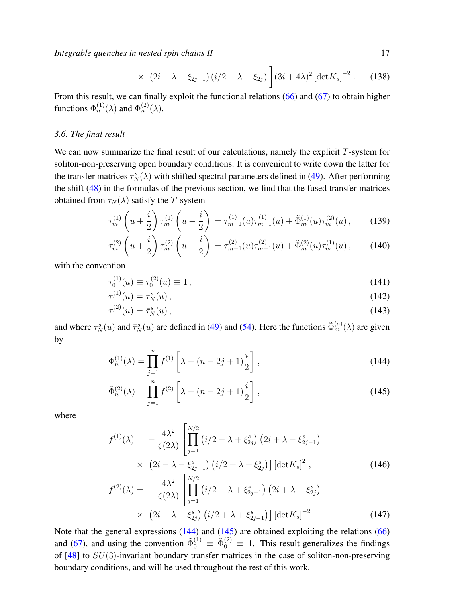$$
\times (2i + \lambda + \xi_{2j-1}) (i/2 - \lambda - \xi_{2j}) \bigg] (3i + 4\lambda)^2 \left[ \det K_s \right]^{-2} . \tag{138}
$$

From this result, we can finally exploit the functional relations [\(66\)](#page-9-2) and [\(67\)](#page-9-2) to obtain higher functions  $\Phi_n^{(1)}(\lambda)$  and  $\Phi_n^{(2)}(\lambda)$ .

## <span id="page-16-0"></span>*3.6. The final result*

We can now summarize the final result of our calculations, namely the explicit  $T$ -system for soliton-non-preserving open boundary conditions. It is convenient to write down the latter for the transfer matrices  $\tau_N^s(\lambda)$  with shifted spectral parameters defined in [\(49\)](#page-7-2). After performing the shift [\(48\)](#page-7-1) in the formulas of the previous section, we find that the fused transfer matrices obtained from  $\tau_N(\lambda)$  satisfy the T-system

<span id="page-16-2"></span>
$$
\tau_m^{(1)}\left(u+\frac{i}{2}\right)\tau_m^{(1)}\left(u-\frac{i}{2}\right) = \tau_{m+1}^{(1)}(u)\tau_{m-1}^{(1)}(u) + \tilde{\Phi}_m^{(1)}(u)\tau_m^{(2)}(u)\,,\tag{139}
$$

$$
\tau_m^{(2)}\left(u+\frac{i}{2}\right)\tau_m^{(2)}\left(u-\frac{i}{2}\right) = \tau_{m+1}^{(2)}(u)\tau_{m-1}^{(2)}(u) + \tilde{\Phi}_m^{(2)}(u)\tau_m^{(1)}(u)\,,\tag{140}
$$

with the convention

$$
\tau_0^{(1)}(u) \equiv \tau_0^{(2)}(u) \equiv 1 \,, \tag{141}
$$

$$
\tau_1^{(1)}(u) = \tau_N^s(u) \,,\tag{142}
$$

$$
\tau_1^{(2)}(u) = \bar{\tau}_N^s(u),\tag{143}
$$

and where  $\tau_N^s(u)$  and  $\bar{\tau}_N^s(u)$  are defined in [\(49\)](#page-7-2) and [\(54\)](#page-8-1). Here the functions  $\tilde{\Phi}_m^{(a)}(\lambda)$  are given by

<span id="page-16-1"></span>
$$
\tilde{\Phi}_n^{(1)}(\lambda) = \prod_{j=1}^n f^{(1)} \left[ \lambda - (n - 2j + 1) \frac{i}{2} \right],
$$
\n(144)

$$
\tilde{\Phi}_n^{(2)}(\lambda) = \prod_{j=1}^n f^{(2)} \left[ \lambda - (n - 2j + 1) \frac{i}{2} \right],
$$
\n(145)

where

<span id="page-16-3"></span>
$$
f^{(1)}(\lambda) = -\frac{4\lambda^2}{\zeta(2\lambda)} \left[ \prod_{j=1}^{N/2} \left( i/2 - \lambda + \xi_{2j}^s \right) \left( 2i + \lambda - \xi_{2j-1}^s \right) \right. \\
\times \left. \left( 2i - \lambda - \xi_{2j-1}^s \right) \left( i/2 + \lambda + \xi_{2j}^s \right) \right] \left[ \det K_s \right]^2 ,\n\tag{146}
$$
\n
$$
f^{(2)}(\lambda) = -\frac{4\lambda^2}{\zeta(2\lambda)} \left[ \prod_{j=1}^{N/2} \left( i/2 - \lambda + \xi_{2j-1}^s \right) \left( 2i + \lambda - \xi_{2j}^s \right) \right. \\
\times \left. \left( 2i - \lambda - \xi_{2j}^s \right) \left( i/2 + \lambda + \xi_{2j-1}^s \right) \right] \left[ \det K_s \right]^{-2} .\n\tag{147}
$$

Note that the general expressions [\(144\)](#page-16-1) and [\(145\)](#page-16-1) are obtained exploiting the relations [\(66\)](#page-9-2) and [\(67\)](#page-9-2), and using the convention  $\tilde{\Phi}_0^{(1)} \equiv \tilde{\Phi}_0^{(2)} \equiv 1$ . This result generalizes the findings of  $[48]$  to  $SU(3)$ -invariant boundary transfer matrices in the case of soliton-non-preserving boundary conditions, and will be used throughout the rest of this work.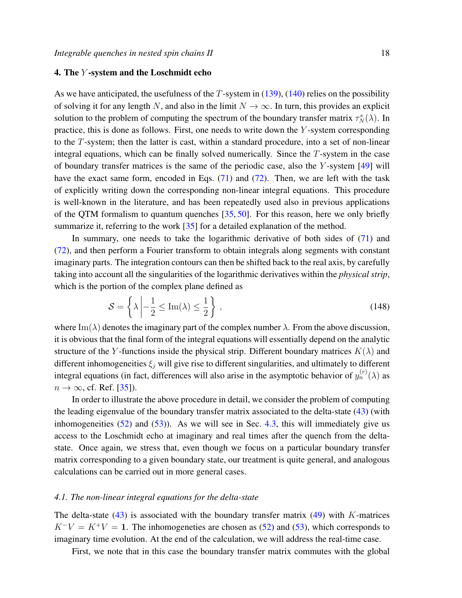# <span id="page-17-0"></span>4. The Y -system and the Loschmidt echo

As we have anticipated, the usefulness of the  $T$ -system in  $(139)$ ,  $(140)$  relies on the possibility of solving it for any length N, and also in the limit  $N \to \infty$ . In turn, this provides an explicit solution to the problem of computing the spectrum of the boundary transfer matrix  $\tau_N^s(\lambda)$ . In practice, this is done as follows. First, one needs to write down the Y -system corresponding to the T-system; then the latter is cast, within a standard procedure, into a set of non-linear integral equations, which can be finally solved numerically. Since the T-system in the case of boundary transfer matrices is the same of the periodic case, also the Y -system [\[49\]](#page-29-16) will have the exact same form, encoded in Eqs. [\(71\)](#page-10-1) and [\(72\)](#page-10-1). Then, we are left with the task of explicitly writing down the corresponding non-linear integral equations. This procedure is well-known in the literature, and has been repeatedly used also in previous applications of the QTM formalism to quantum quenches [\[35,](#page-29-4) [50\]](#page-29-17). For this reason, here we only briefly summarize it, referring to the work [\[35\]](#page-29-4) for a detailed explanation of the method.

In summary, one needs to take the logarithmic derivative of both sides of [\(71\)](#page-10-1) and [\(72\)](#page-10-1), and then perform a Fourier transform to obtain integrals along segments with constant imaginary parts. The integration contours can then be shifted back to the real axis, by carefully taking into account all the singularities of the logarithmic derivatives within the *physical strip*, which is the portion of the complex plane defined as

<span id="page-17-2"></span>
$$
S = \left\{ \lambda \left| -\frac{1}{2} \le \text{Im}(\lambda) \le \frac{1}{2} \right. \right\},\tag{148}
$$

where Im( $\lambda$ ) denotes the imaginary part of the complex number  $\lambda$ . From the above discussion, it is obvious that the final form of the integral equations will essentially depend on the analytic structure of the Y-functions inside the physical strip. Different boundary matrices  $K(\lambda)$  and different inhomogeneities  $\xi_i$  will give rise to different singularities, and ultimately to different integral equations (in fact, differences will also arise in the asymptotic behavior of  $y_n^{(r)}(\lambda)$  as  $n \to \infty$ , cf. Ref. [\[35\]](#page-29-4)).

In order to illustrate the above procedure in detail, we consider the problem of computing the leading eigenvalue of the boundary transfer matrix associated to the delta-state [\(43\)](#page-7-5) (with inhomogeneities  $(52)$  and  $(53)$ ). As we will see in Sec. [4.3,](#page-24-0) this will immediately give us access to the Loschmidt echo at imaginary and real times after the quench from the deltastate. Once again, we stress that, even though we focus on a particular boundary transfer matrix corresponding to a given boundary state, our treatment is quite general, and analogous calculations can be carried out in more general cases.

## <span id="page-17-1"></span>*4.1. The non-linear integral equations for the delta-state*

The delta-state  $(43)$  is associated with the boundary transfer matrix  $(49)$  with K-matrices  $K^-V = K^+V = 1$ . The inhomogeneties are chosen as [\(52\)](#page-8-2) and [\(53\)](#page-8-2), which corresponds to imaginary time evolution. At the end of the calculation, we will address the real-time case.

First, we note that in this case the boundary transfer matrix commutes with the global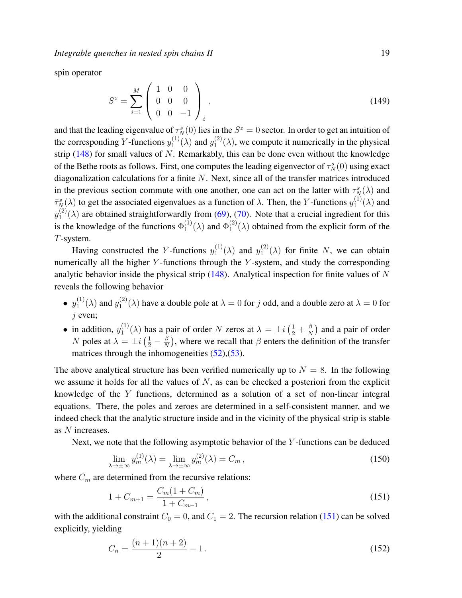spin operator

$$
S^z = \sum_{i=1}^M \begin{pmatrix} 1 & 0 & 0 \\ 0 & 0 & 0 \\ 0 & 0 & -1 \end{pmatrix}_i, \tag{149}
$$

and that the leading eigenvalue of  $\tau_N^s(0)$  lies in the  $S^z = 0$  sector. In order to get an intuition of the corresponding Y-functions  $y_1^{(1)}$  $j_1^{(1)}(\lambda)$  and  $y_1^{(2)}$  $I_1^{(2)}(\lambda)$ , we compute it numerically in the physical strip  $(148)$  for small values of N. Remarkably, this can be done even without the knowledge of the Bethe roots as follows. First, one computes the leading eigenvector of  $\tau_N^s(0)$  using exact diagonalization calculations for a finite  $N$ . Next, since all of the transfer matrices introduced in the previous section commute with one another, one can act on the latter with  $\tau_N^s(\lambda)$  and  $\bar{\tau}_N^s(\lambda)$  to get the associated eigenvalues as a function of  $\lambda$ . Then, the Y-functions  $y_1^{(1)}$  $I_1^{(1)}(\lambda)$  and  $y_1^{(2)}$  $\binom{1}{1}(\lambda)$  are obtained straightforwardly from [\(69\)](#page-10-2), [\(70\)](#page-10-2). Note that a crucial ingredient for this is the knowledge of the functions  $\Phi_1^{(1)}$  $_{1}^{(1)}(\lambda)$  and  $\Phi_{1}^{(2)}$  $\binom{1}{1}(\lambda)$  obtained from the explicit form of the T-system.

Having constructed the Y-functions  $y_1^{(1)}$  $y_1^{(1)}(\lambda)$  and  $y_1^{(2)}$  $\binom{1}{1}(\lambda)$  for finite N, we can obtain numerically all the higher  $Y$ -functions through the  $Y$ -system, and study the corresponding analytic behavior inside the physical strip  $(148)$ . Analytical inspection for finite values of N reveals the following behavior

- $\bullet\,y_1^{(1)}$  $j_1^{(1)}(\lambda)$  and  $y_1^{(2)}$  $\binom{1}{1}(\lambda)$  have a double pole at  $\lambda = 0$  for j odd, and a double zero at  $\lambda = 0$  for  $j$  even;
- in addition,  $y_1^{(1)}$  $\chi_1^{(1)}(\lambda)$  has a pair of order N zeros at  $\lambda = \pm i \left(\frac{1}{2} + \frac{\beta}{N}\right)$  $\frac{\beta}{N}$  and a pair of order *N* poles at  $\lambda = \pm i \left( \frac{1}{2} - \frac{\beta}{N} \right)$  $\frac{\beta}{N}$ ), where we recall that  $\beta$  enters the definition of the transfer matrices through the inhomogeneities  $(52)$ ,  $(53)$ .

The above analytical structure has been verified numerically up to  $N = 8$ . In the following we assume it holds for all the values of  $N$ , as can be checked a posteriori from the explicit knowledge of the Y functions, determined as a solution of a set of non-linear integral equations. There, the poles and zeroes are determined in a self-consistent manner, and we indeed check that the analytic structure inside and in the vicinity of the physical strip is stable as N increases.

Next, we note that the following asymptotic behavior of the  $Y$ -functions can be deduced

$$
\lim_{\lambda \to \pm \infty} y_m^{(1)}(\lambda) = \lim_{\lambda \to \pm \infty} y_m^{(2)}(\lambda) = C_m,
$$
\n(150)

where  $C_m$  are determined from the recursive relations:

<span id="page-18-0"></span>
$$
1 + C_{m+1} = \frac{C_m(1 + C_m)}{1 + C_{m-1}},
$$
\n(151)

with the additional constraint  $C_0 = 0$ , and  $C_1 = 2$ . The recursion relation [\(151\)](#page-18-0) can be solved explicitly, yielding

<span id="page-18-1"></span>
$$
C_n = \frac{(n+1)(n+2)}{2} - 1.
$$
\n(152)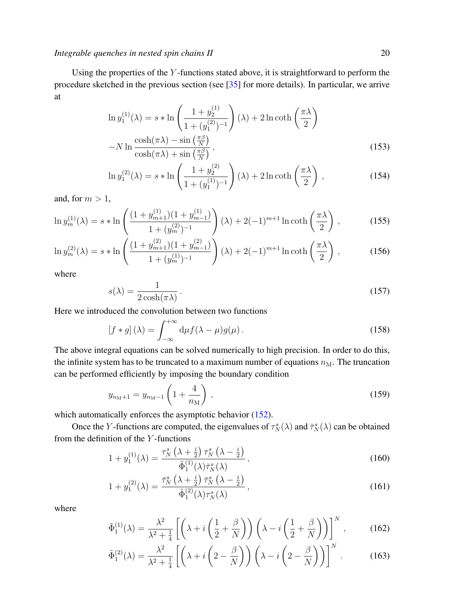Using the properties of the Y -functions stated above, it is straightforward to perform the procedure sketched in the previous section (see [\[35\]](#page-29-4) for more details). In particular, we arrive at

$$
\ln y_1^{(1)}(\lambda) = s * \ln \left( \frac{1 + y_2^{(1)}}{1 + (y_1^{(2)})^{-1}} \right) (\lambda) + 2 \ln \coth \left( \frac{\pi \lambda}{2} \right)
$$

$$
- N \ln \frac{\cosh(\pi \lambda) - \sin \left( \frac{\pi \beta}{N} \right)}{\cosh(\pi \lambda) + \sin \left( \frac{\pi \beta}{N} \right)},
$$
(153)

$$
\ln y_1^{(2)}(\lambda) = s * \ln \left( \frac{1 + y_2^{(2)}}{1 + (y_1^{(1)})^{-1}} \right) (\lambda) + 2 \ln \coth \left( \frac{\pi \lambda}{2} \right) ,\tag{154}
$$

and, for  $m > 1$ ,

$$
\ln y_m^{(1)}(\lambda) = s * \ln \left( \frac{(1 + y_{m+1}^{(1)})(1 + y_{m-1}^{(1)})}{1 + (y_m^{(2)})^{-1}} \right) (\lambda) + 2(-1)^{m+1} \ln \coth \left( \frac{\pi \lambda}{2} \right), \tag{155}
$$

$$
\ln y_m^{(2)}(\lambda) = s * \ln \left( \frac{(1 + y_{m+1}^{(2)})(1 + y_{m-1}^{(2)})}{1 + (y_m^{(1)})^{-1}} \right) (\lambda) + 2(-1)^{m+1} \ln \coth \left( \frac{\pi \lambda}{2} \right) ,\tag{156}
$$

where

<span id="page-19-0"></span>
$$
s(\lambda) = \frac{1}{2\cosh(\pi\lambda)}\,. \tag{157}
$$

Here we introduced the convolution between two functions

$$
[f * g](\lambda) = \int_{-\infty}^{+\infty} d\mu f(\lambda - \mu) g(\mu).
$$
 (158)

The above integral equations can be solved numerically to high precision. In order to do this, the infinite system has to be truncated to a maximum number of equations  $n_M$ . The truncation can be performed efficiently by imposing the boundary condition

$$
y_{n_{\rm M}+1} = y_{n_{\rm M}-1} \left( 1 + \frac{4}{n_{\rm M}} \right) , \qquad (159)
$$

which automatically enforces the asymptotic behavior [\(152\)](#page-18-1).

Once the Y-functions are computed, the eigenvalues of  $\tau_N^s(\lambda)$  and  $\bar{\tau}_N^s(\lambda)$  can be obtained from the definition of the Y -functions

$$
1 + y_1^{(1)}(\lambda) = \frac{\tau_N^s \left(\lambda + \frac{i}{2}\right) \tau_N^s \left(\lambda - \frac{i}{2}\right)}{\tilde{\Phi}_1^{(1)}(\lambda) \bar{\tau}_N^s(\lambda)},\tag{160}
$$

$$
1 + y_1^{(2)}(\lambda) = \frac{\bar{\tau}_N^s \left(\lambda + \frac{i}{2}\right) \bar{\tau}_N^s \left(\lambda - \frac{i}{2}\right)}{\tilde{\Phi}_1^{(2)}(\lambda) \tau_N^s(\lambda)},
$$
\n(161)

where

$$
\tilde{\Phi}_1^{(1)}(\lambda) = \frac{\lambda^2}{\lambda^2 + \frac{1}{4}} \left[ \left( \lambda + i \left( \frac{1}{2} + \frac{\beta}{N} \right) \right) \left( \lambda - i \left( \frac{1}{2} + \frac{\beta}{N} \right) \right) \right]^N, \tag{162}
$$

$$
\tilde{\Phi}_1^{(2)}(\lambda) = \frac{\lambda^2}{\lambda^2 + \frac{1}{4}} \left[ \left( \lambda + i \left( 2 - \frac{\beta}{N} \right) \right) \left( \lambda - i \left( 2 - \frac{\beta}{N} \right) \right) \right]^N. \tag{163}
$$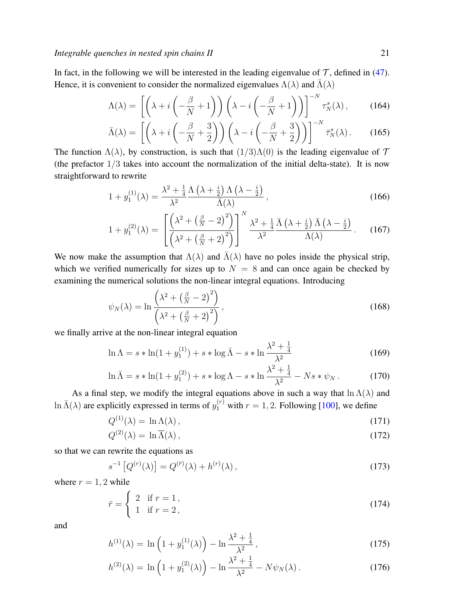In fact, in the following we will be interested in the leading eigenvalue of  $\mathcal T$ , defined in [\(47\)](#page-7-4). Hence, it is convenient to consider the normalized eigenvalues  $\Lambda(\lambda)$  and  $\bar{\Lambda}(\lambda)$ 

$$
\Lambda(\lambda) = \left[ \left( \lambda + i \left( -\frac{\beta}{N} + 1 \right) \right) \left( \lambda - i \left( -\frac{\beta}{N} + 1 \right) \right) \right]^{-N} \tau_N^s(\lambda), \tag{164}
$$

$$
\bar{\Lambda}(\lambda) = \left[ \left( \lambda + i \left( -\frac{\beta}{N} + \frac{3}{2} \right) \right) \left( \lambda - i \left( -\frac{\beta}{N} + \frac{3}{2} \right) \right) \right]^{-N} \bar{\tau}_N^s(\lambda). \tag{165}
$$

The function  $\Lambda(\lambda)$ , by construction, is such that  $(1/3)\Lambda(0)$  is the leading eigenvalue of  $\mathcal T$ (the prefactor  $1/3$  takes into account the normalization of the initial delta-state). It is now straightforward to rewrite

$$
1 + y_1^{(1)}(\lambda) = \frac{\lambda^2 + \frac{1}{4}\Lambda\left(\lambda + \frac{i}{2}\right)\Lambda\left(\lambda - \frac{i}{2}\right)}{\bar{\Lambda}(\lambda)},
$$
\n(166)

$$
1 + y_1^{(2)}(\lambda) = \left[ \frac{\left(\lambda^2 + \left(\frac{\beta}{N} - 2\right)^2\right)}{\left(\lambda^2 + \left(\frac{\beta}{N} + 2\right)^2\right)} \right]^N \frac{\lambda^2 + \frac{1}{4}}{\lambda^2} \frac{\bar{\Lambda}\left(\lambda + \frac{i}{2}\right)\bar{\Lambda}\left(\lambda - \frac{i}{2}\right)}{\Lambda(\lambda)} \,. \tag{167}
$$

We now make the assumption that  $\Lambda(\lambda)$  and  $\bar{\Lambda}(\lambda)$  have no poles inside the physical strip, which we verified numerically for sizes up to  $N = 8$  and can once again be checked by examining the numerical solutions the non-linear integral equations. Introducing

$$
\psi_N(\lambda) = \ln \frac{\left(\lambda^2 + \left(\frac{\beta}{N} - 2\right)^2\right)}{\left(\lambda^2 + \left(\frac{\beta}{N} + 2\right)^2\right)},\tag{168}
$$

we finally arrive at the non-linear integral equation

$$
\ln \Lambda = s * \ln(1 + y_1^{(1)}) + s * \log \bar{\Lambda} - s * \ln \frac{\lambda^2 + \frac{1}{4}}{\lambda^2}
$$
 (169)

$$
\ln \bar{\Lambda} = s * \ln(1 + y_1^{(2)}) + s * \log \Lambda - s * \ln \frac{\lambda^2 + \frac{1}{4}}{\lambda^2} - N s * \psi_N. \tag{170}
$$

As a final step, we modify the integral equations above in such a way that  $\ln \Lambda(\lambda)$  and  $\ln \bar{\Lambda}(\lambda)$  are explicitly expressed in terms of  $y_1^{(r)}$  with  $r = 1, 2$ . Following [\[100\]](#page-30-16), we define

$$
Q^{(1)}(\lambda) = \ln \Lambda(\lambda), \qquad (171)
$$

$$
Q^{(2)}(\lambda) = \ln \overline{\Lambda}(\lambda), \qquad (172)
$$

so that we can rewrite the equations as

<span id="page-20-0"></span>
$$
s^{-1}\left[Q^{(r)}(\lambda)\right] = Q^{(\bar{r})}(\lambda) + h^{(r)}(\lambda),\tag{173}
$$

where  $r = 1, 2$  while

$$
\bar{r} = \begin{cases} 2 & \text{if } r = 1, \\ 1 & \text{if } r = 2, \end{cases}
$$
 (174)

and

$$
h^{(1)}(\lambda) = \ln\left(1 + y_1^{(1)}(\lambda)\right) - \ln\frac{\lambda^2 + \frac{1}{4}}{\lambda^2},\tag{175}
$$

$$
h^{(2)}(\lambda) = \ln\left(1 + y_1^{(2)}(\lambda)\right) - \ln\frac{\lambda^2 + \frac{1}{4}}{\lambda^2} - N\psi_N(\lambda).
$$
 (176)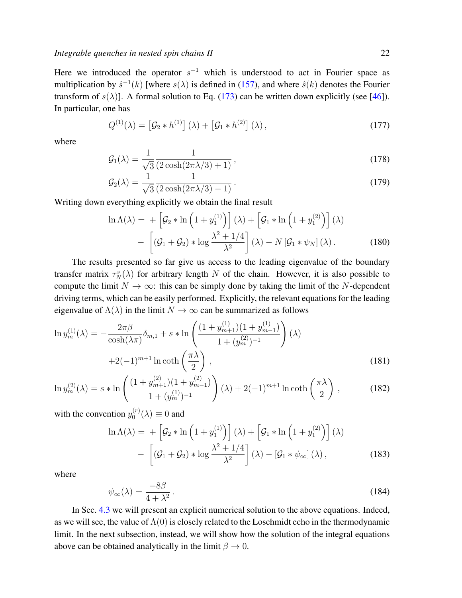Here we introduced the operator  $s^{-1}$  which is understood to act in Fourier space as multiplication by  $\hat{s}^{-1}(k)$  [where  $s(\lambda)$  is defined in [\(157\)](#page-19-0), and where  $\hat{s}(k)$  denotes the Fourier transform of  $s(\lambda)$ ]. A formal solution to Eq. [\(173\)](#page-20-0) can be written down explicitly (see [\[46\]](#page-29-13)). In particular, one has

$$
Q^{(1)}(\lambda) = \left[\mathcal{G}_2 * h^{(1)}\right](\lambda) + \left[\mathcal{G}_1 * h^{(2)}\right](\lambda),\tag{177}
$$

where

$$
\mathcal{G}_1(\lambda) = \frac{1}{\sqrt{3}} \frac{1}{(2\cosh(2\pi\lambda/3) + 1)},\tag{178}
$$

$$
\mathcal{G}_2(\lambda) = \frac{1}{\sqrt{3}} \frac{1}{(2\cosh(2\pi\lambda/3) - 1)}.
$$
\n(179)

Writing down everything explicitly we obtain the final result

$$
\ln \Lambda(\lambda) = + \left[ \mathcal{G}_2 * \ln \left( 1 + y_1^{(1)} \right) \right] (\lambda) + \left[ \mathcal{G}_1 * \ln \left( 1 + y_1^{(2)} \right) \right] (\lambda)
$$

$$
- \left[ \left( \mathcal{G}_1 + \mathcal{G}_2 \right) * \log \frac{\lambda^2 + 1/4}{\lambda^2} \right] (\lambda) - N \left[ \mathcal{G}_1 * \psi_N \right] (\lambda). \tag{180}
$$

The results presented so far give us access to the leading eigenvalue of the boundary transfer matrix  $\tau_N^s(\lambda)$  for arbitrary length N of the chain. However, it is also possible to compute the limit  $N \to \infty$ : this can be simply done by taking the limit of the N-dependent driving terms, which can be easily performed. Explicitly, the relevant equations for the leading eigenvalue of  $\Lambda(\lambda)$  in the limit  $N \to \infty$  can be summarized as follows

<span id="page-21-1"></span>
$$
\ln y_m^{(1)}(\lambda) = -\frac{2\pi\beta}{\cosh(\lambda\pi)}\delta_{m,1} + s * \ln\left(\frac{(1+y_{m+1}^{(1)})(1+y_{m-1}^{(1)})}{1+(y_m^{(2)})^{-1}}\right)(\lambda)
$$

$$
+2(-1)^{m+1}\ln\coth\left(\frac{\pi\lambda}{2}\right),\tag{181}
$$

$$
\ln y_m^{(2)}(\lambda) = s * \ln \left( \frac{(1 + y_{m+1}^{(2)})(1 + y_{m-1}^{(2)})}{1 + (y_m^{(1)})^{-1}} \right) (\lambda) + 2(-1)^{m+1} \ln \coth \left( \frac{\pi \lambda}{2} \right) ,\tag{182}
$$

with the convention  $y_0^{(r)}$  $\binom{r}{0}(\lambda) \equiv 0$  and

<span id="page-21-0"></span>
$$
\ln \Lambda(\lambda) = + \left[ \mathcal{G}_2 * \ln \left( 1 + y_1^{(1)} \right) \right] (\lambda) + \left[ \mathcal{G}_1 * \ln \left( 1 + y_1^{(2)} \right) \right] (\lambda)
$$

$$
- \left[ \left( \mathcal{G}_1 + \mathcal{G}_2 \right) * \log \frac{\lambda^2 + 1/4}{\lambda^2} \right] (\lambda) - \left[ \mathcal{G}_1 * \psi_\infty \right] (\lambda), \tag{183}
$$

where

$$
\psi_{\infty}(\lambda) = \frac{-8\beta}{4 + \lambda^2}.
$$
\n(184)

In Sec. [4.3](#page-24-0) we will present an explicit numerical solution to the above equations. Indeed, as we will see, the value of  $\Lambda(0)$  is closely related to the Loschmidt echo in the thermodynamic limit. In the next subsection, instead, we will show how the solution of the integral equations above can be obtained analytically in the limit  $\beta \to 0$ .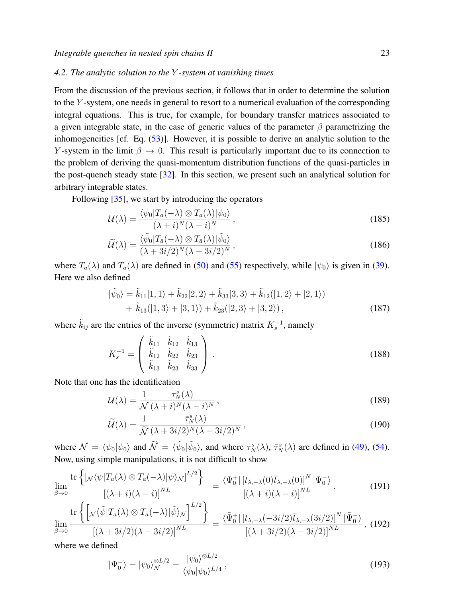# <span id="page-22-0"></span>*4.2. The analytic solution to the* Y *-system at vanishing times*

From the discussion of the previous section, it follows that in order to determine the solution to the Y -system, one needs in general to resort to a numerical evaluation of the corresponding integral equations. This is true, for example, for boundary transfer matrices associated to a given integrable state, in the case of generic values of the parameter  $\beta$  parametrizing the inhomogeneities [cf. Eq. [\(53\)](#page-8-2)]. However, it is possible to derive an analytic solution to the Y-system in the limit  $\beta \to 0$ . This result is particularly important due to its connection to the problem of deriving the quasi-momentum distribution functions of the quasi-particles in the post-quench steady state [\[32\]](#page-29-1). In this section, we present such an analytical solution for arbitrary integrable states.

Following [\[35\]](#page-29-4), we start by introducing the operators

$$
\mathcal{U}(\lambda) = \frac{\langle \psi_0 | T_a(-\lambda) \otimes T_a(\lambda) | \psi_0 \rangle}{(\lambda + i)^N (\lambda - i)^N},
$$
\n(185)

$$
\widetilde{\mathcal{U}}(\lambda) = \frac{\langle \widetilde{\psi}_0 | T_{\bar{a}}(-\lambda) \otimes T_{\bar{a}}(\lambda) | \widetilde{\psi}_0 \rangle}{(\lambda + 3i/2)^N (\lambda - 3i/2)^N},
$$
\n(186)

where  $T_a(\lambda)$  and  $T_{\bar{a}}(\lambda)$  are defined in [\(50\)](#page-7-6) and [\(55\)](#page-8-3) respectively, while  $|\psi_0\rangle$  is given in [\(39\)](#page-6-2). Here we also defined

$$
|\tilde{\psi}_0\rangle = \tilde{k}_{11}|1,1\rangle + \tilde{k}_{22}|2,2\rangle + \tilde{k}_{33}|3,3\rangle + \tilde{k}_{12}(|1,2\rangle + |2,1\rangle) + \tilde{k}_{13}(|1,3\rangle + |3,1\rangle) + \tilde{k}_{23}(|2,3\rangle + |3,2\rangle),
$$
\n(187)

where  $\tilde{k}_{ij}$  are the entries of the inverse (symmetric) matrix  $K_s^{-1}$ , namely

$$
K_s^{-1} = \begin{pmatrix} \tilde{k}_{11} & \tilde{k}_{12} & \tilde{k}_{13} \\ \tilde{k}_{12} & \tilde{k}_{22} & \tilde{k}_{23} \\ \tilde{k}_{13} & \tilde{k}_{23} & \tilde{k}_{33} \end{pmatrix} .
$$
 (188)

Note that one has the identification

<span id="page-22-1"></span>
$$
\mathcal{U}(\lambda) = \frac{1}{\mathcal{N}} \frac{\tau_N^s(\lambda)}{(\lambda + i)^N (\lambda - i)^N},\tag{189}
$$

$$
\widetilde{\mathcal{U}}(\lambda) = \frac{1}{\widetilde{\mathcal{N}}} \frac{\overline{\tau}_N^s(\lambda)}{(\lambda + 3i/2)^N (\lambda - 3i/2)^N},\tag{190}
$$

where  $\mathcal{N} = \langle \psi_0 | \psi_0 \rangle$  and  $\widetilde{\mathcal{N}} = \langle \widetilde{\psi}_0 | \widetilde{\psi}_0 \rangle$ , and where  $\tau_N^s(\lambda)$ ,  $\overline{\tau}_N^s(\lambda)$  are defined in [\(49\)](#page-7-2), [\(54\)](#page-8-1). Now, using simple manipulations, it is not difficult to show

$$
\lim_{\beta \to 0} \frac{\text{tr}\left\{\left[\mathcal{N}\langle\psi|T_a(\lambda)\otimes T_a(-\lambda)|\psi\rangle_{\mathcal{N}}\right]^{L/2}\right\}}{\left[(\lambda+i)(\lambda-i)\right]^{NL}} = \frac{\langle\Psi_0^+|\left[t_{\lambda,-\lambda}(0)\bar{t}_{\lambda,-\lambda}(0)\right]^N|\Psi_0^-\rangle}{\left[(\lambda+i)(\lambda-i)\right]^{NL}},
$$
\n(191)

$$
\lim_{\beta \to 0} \frac{\text{tr}\left\{ \left[ \sqrt{\langle \tilde{\psi} | T_{\bar{a}}(\lambda) \otimes T_{\bar{a}}(-\lambda) | \tilde{\psi} \rangle_{\mathcal{N}}} \right]^{L/2} \right\}}{\left[ (\lambda + 3i/2)(\lambda - 3i/2) \right]^{NL}} = \frac{\langle \tilde{\Psi}_0^+ | [t_{\lambda, -\lambda}(-3i/2)\bar{t}_{\lambda, -\lambda}(3i/2)]^N | \tilde{\Psi}_0^- \rangle}{\left[ (\lambda + 3i/2)(\lambda - 3i/2) \right]^{NL}}, (192)
$$

where we defined

$$
|\Psi_0^-\rangle = |\psi_0\rangle_{\mathcal{N}}^{\otimes L/2} = \frac{|\psi_0\rangle^{\otimes L/2}}{\langle\psi_0|\psi_0\rangle^{L/4}},\tag{193}
$$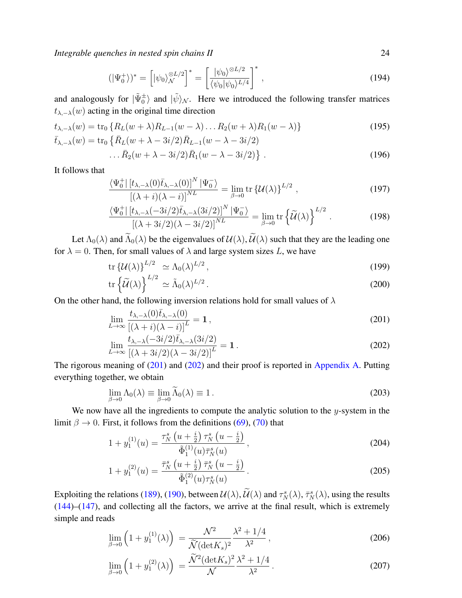$$
(|\Psi_0^+\rangle)^* = \left[|\psi_0\rangle_{\mathcal{N}}^{\otimes L/2}\right]^* = \left[\frac{|\psi_0\rangle^{\otimes L/2}}{\langle\psi_0|\psi_0\rangle^{L/4}}\right]^*,\tag{194}
$$

and analogously for  $|\tilde{\Psi}_{0}^{\pm}\rangle$  and  $|\tilde{\psi}\rangle_{\mathcal{N}}$ . Here we introduced the following transfer matrices  $t_{\lambda,-\lambda}(w)$  acting in the original time direction

$$
t_{\lambda,-\lambda}(w) = \text{tr}_0 \{ R_L(w + \lambda) R_{L-1}(w - \lambda) \dots R_2(w + \lambda) R_1(w - \lambda) \}
$$
  
\n
$$
\bar{t}_{\lambda,-\lambda}(w) = \text{tr}_0 \{ \bar{R}_L(w + \lambda - 3i/2) \bar{R}_{L-1}(w - \lambda - 3i/2) \}
$$
\n(195)

$$
\dots \bar{R}_2(w + \lambda - 3i/2)\bar{R}_1(w - \lambda - 3i/2)\} \ . \tag{196}
$$

It follows that

$$
\frac{\langle \Psi_0^+ | [t_{\lambda,-\lambda}(0)\bar{t}_{\lambda,-\lambda}(0)]^N | \Psi_0^- \rangle}{\left[ (\lambda+i)(\lambda-i) \right]^{NL}} = \lim_{\beta \to 0} \text{tr} \left\{ \mathcal{U}(\lambda) \right\}^{L/2},\tag{197}
$$

$$
\frac{\langle \Psi_0^+ | [t_{\lambda,-\lambda}(-3i/2)\bar{t}_{\lambda,-\lambda}(3i/2)]^N | \Psi_0^- \rangle}{[(\lambda+3i/2)(\lambda-3i/2)]^{NL}} = \lim_{\beta \to 0} \text{tr} \left\{ \widetilde{\mathcal{U}}(\lambda) \right\}^{L/2}.
$$
 (198)

Let  $\Lambda_0(\lambda)$  and  $\widetilde{\Lambda}_0(\lambda)$  be the eigenvalues of  $\mathcal{U}(\lambda)$ ,  $\widetilde{\mathcal{U}}(\lambda)$  such that they are the leading one for  $\lambda = 0$ . Then, for small values of  $\lambda$  and large system sizes L, we have

$$
\operatorname{tr}\left\{\mathcal{U}(\lambda)\right\}^{L/2} \simeq \Lambda_0(\lambda)^{L/2},\tag{199}
$$

$$
\operatorname{tr}\left\{\widetilde{\mathcal{U}}(\lambda)\right\}^{L/2} \simeq \widetilde{\Lambda}_0(\lambda)^{L/2} \,. \tag{200}
$$

On the other hand, the following inversion relations hold for small values of  $\lambda$ 

<span id="page-23-0"></span>
$$
\lim_{L \to \infty} \frac{t_{\lambda,-\lambda}(0)\bar{t}_{\lambda,-\lambda}(0)}{\left[ (\lambda+i)(\lambda-i) \right]^L} = 1 ,
$$
\n(201)

$$
\lim_{L \to \infty} \frac{t_{\lambda, -\lambda}(-3i/2)\bar{t}_{\lambda, -\lambda}(3i/2)}{[(\lambda + 3i/2)(\lambda - 3i/2)]^L} = 1.
$$
\n(202)

The rigorous meaning of [\(201\)](#page-23-0) and [\(202\)](#page-23-0) and their proof is reported in [Appendix A.](#page-26-0) Putting everything together, we obtain

$$
\lim_{\beta \to 0} \Lambda_0(\lambda) \equiv \lim_{\beta \to 0} \widetilde{\Lambda}_0(\lambda) \equiv 1. \tag{203}
$$

We now have all the ingredients to compute the analytic solution to the  $y$ -system in the limit  $\beta \to 0$ . First, it follows from the definitions [\(69\)](#page-10-2), [\(70\)](#page-10-2) that

$$
1 + y_1^{(1)}(u) = \frac{\tau_N^s (u + \frac{i}{2}) \tau_N^s (u - \frac{i}{2})}{\tilde{\Phi}_1^{(1)}(u)\bar{\tau}_N^s(u)},
$$
\n(204)

$$
1 + y_1^{(2)}(u) = \frac{\bar{\tau}_N^s \left(u + \frac{i}{2}\right) \bar{\tau}_N^s \left(u - \frac{i}{2}\right)}{\tilde{\Phi}_1^{(2)}(u)\tau_N^s(u)}.
$$
\n(205)

Exploiting the relations [\(189\)](#page-22-1), [\(190\)](#page-22-1), between  $\mathcal{U}(\lambda)$ ,  $\mathcal{U}(\lambda)$  and  $\tau_N^s(\lambda)$ ,  $\bar{\tau}_N^s(\lambda)$ , using the results [\(144\)](#page-16-1)–[\(147\)](#page-16-3), and collecting all the factors, we arrive at the final result, which is extremely simple and reads

$$
\lim_{\beta \to 0} \left( 1 + y_1^{(1)}(\lambda) \right) = \frac{\mathcal{N}^2}{\widetilde{\mathcal{N}} (\det K_s)^2} \frac{\lambda^2 + 1/4}{\lambda^2},
$$
\n(206)

$$
\lim_{\beta \to 0} \left( 1 + y_1^{(2)}(\lambda) \right) = \frac{\tilde{\mathcal{N}}^2 (\det K_s)^2}{\mathcal{N}} \frac{\lambda^2 + 1/4}{\lambda^2} \,. \tag{207}
$$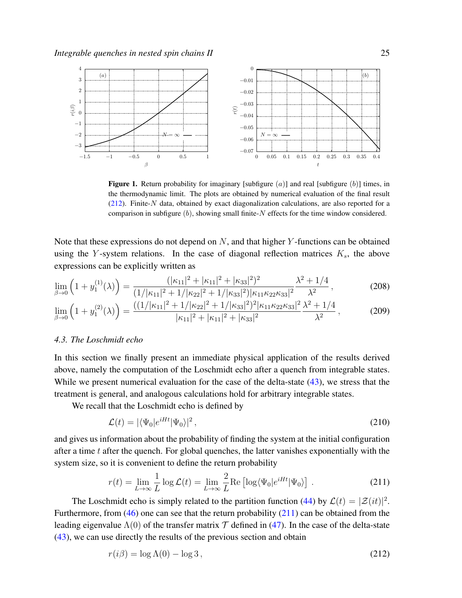

<span id="page-24-3"></span>**Figure 1.** Return probability for imaginary [subfigure  $(a)$ ] and real [subfigure  $(b)$ ] times, in the thermodynamic limit. The plots are obtained by numerical evaluation of the final result  $(212)$ . Finite-N data, obtained by exact diagonalization calculations, are also reported for a comparison in subfigure  $(b)$ , showing small finite-N effects for the time window considered.

Note that these expressions do not depend on  $N$ , and that higher Y-functions can be obtained using the Y-system relations. In the case of diagonal reflection matrices  $K_s$ , the above expressions can be explicitly written as

$$
\lim_{\beta \to 0} \left( 1 + y_1^{(1)}(\lambda) \right) = \frac{(|\kappa_{11}|^2 + |\kappa_{11}|^2 + |\kappa_{33}|^2)^2}{(1/|\kappa_{11}|^2 + 1/|\kappa_{22}|^2 + 1/|\kappa_{33}|^2)|\kappa_{11}\kappa_{22}\kappa_{33}|^2} \frac{\lambda^2 + 1/4}{\lambda^2},
$$
\n(208)

$$
\lim_{\beta \to 0} \left( 1 + y_1^{(2)}(\lambda) \right) = \frac{((1/|\kappa_{11}|^2 + 1/|\kappa_{22}|^2 + 1/|\kappa_{33}|^2)^2 |\kappa_{11} \kappa_{22} \kappa_{33}|^2}{|\kappa_{11}|^2 + |\kappa_{11}|^2 + |\kappa_{33}|^2} \frac{\lambda^2 + 1/4}{\lambda^2},
$$
\n(209)

## <span id="page-24-0"></span>*4.3. The Loschmidt echo*

In this section we finally present an immediate physical application of the results derived above, namely the computation of the Loschmidt echo after a quench from integrable states. While we present numerical evaluation for the case of the delta-state [\(43\)](#page-7-5), we stress that the treatment is general, and analogous calculations hold for arbitrary integrable states.

We recall that the Loschmidt echo is defined by

$$
\mathcal{L}(t) = |\langle \Psi_0 | e^{iHt} | \Psi_0 \rangle|^2, \qquad (210)
$$

and gives us information about the probability of finding the system at the initial configuration after a time  $t$  after the quench. For global quenches, the latter vanishes exponentially with the system size, so it is convenient to define the return probability

<span id="page-24-2"></span>
$$
r(t) = \lim_{L \to \infty} \frac{1}{L} \log \mathcal{L}(t) = \lim_{L \to \infty} \frac{2}{L} \text{Re} \left[ \log \langle \Psi_0 | e^{iHt} | \Psi_0 \rangle \right]. \tag{211}
$$

The Loschmidt echo is simply related to the partition function [\(44\)](#page-7-0) by  $\mathcal{L}(t) = |\mathcal{Z}(it)|^2$ . Furthermore, from [\(46\)](#page-7-3) one can see that the return probability [\(211\)](#page-24-2) can be obtained from the leading eigenvalue  $\Lambda(0)$  of the transfer matrix  $\mathcal T$  defined in [\(47\)](#page-7-4). In the case of the delta-state [\(43\)](#page-7-5), we can use directly the results of the previous section and obtain

<span id="page-24-1"></span>
$$
r(i\beta) = \log \Lambda(0) - \log 3, \qquad (212)
$$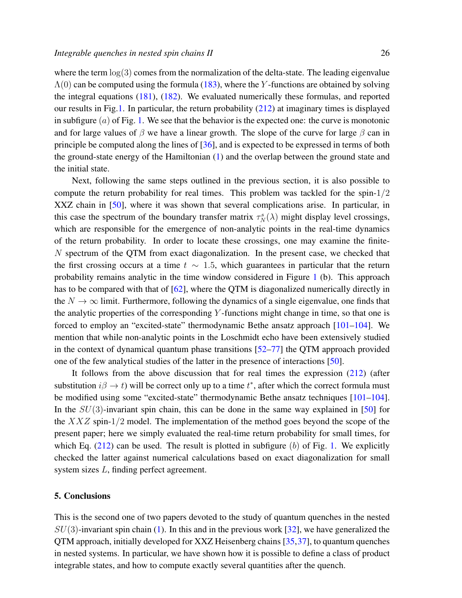where the term  $log(3)$  comes from the normalization of the delta-state. The leading eigenvalue  $\Lambda(0)$  can be computed using the formula [\(183\)](#page-21-0), where the Y-functions are obtained by solving the integral equations [\(181\)](#page-21-1), [\(182\)](#page-21-1). We evaluated numerically these formulas, and reported our results in Fig[.1.](#page-24-3) In particular, the return probability [\(212\)](#page-24-1) at imaginary times is displayed in subfigure  $(a)$  of Fig. [1.](#page-24-3) We see that the behavior is the expected one: the curve is monotonic and for large values of  $\beta$  we have a linear growth. The slope of the curve for large  $\beta$  can in principle be computed along the lines of [\[36\]](#page-29-5), and is expected to be expressed in terms of both the ground-state energy of the Hamiltonian [\(1\)](#page-1-1) and the overlap between the ground state and the initial state.

Next, following the same steps outlined in the previous section, it is also possible to compute the return probability for real times. This problem was tackled for the spin- $1/2$ XXZ chain in [\[50\]](#page-29-17), where it was shown that several complications arise. In particular, in this case the spectrum of the boundary transfer matrix  $\tau_N^s(\lambda)$  might display level crossings, which are responsible for the emergence of non-analytic points in the real-time dynamics of the return probability. In order to locate these crossings, one may examine the finite-N spectrum of the QTM from exact diagonalization. In the present case, we checked that the first crossing occurs at a time  $t \sim 1.5$ , which guarantees in particular that the return probability remains analytic in the time window considered in Figure [1](#page-24-3) (b). This approach has to be compared with that of [\[62\]](#page-29-21), where the QTM is diagonalized numerically directly in the  $N \to \infty$  limit. Furthermore, following the dynamics of a single eigenvalue, one finds that the analytic properties of the corresponding  $Y$ -functions might change in time, so that one is forced to employ an "excited-state" thermodynamic Bethe ansatz approach [\[101–](#page-30-17)[104\]](#page-31-0). We mention that while non-analytic points in the Loschmidt echo have been extensively studied in the context of dynamical quantum phase transitions [\[52–](#page-29-19)[77\]](#page-30-0) the QTM approach provided one of the few analytical studies of the latter in the presence of interactions [\[50\]](#page-29-17).

It follows from the above discussion that for real times the expression [\(212\)](#page-24-1) (after substitution  $i\beta \rightarrow t$ ) will be correct only up to a time  $t^*$ , after which the correct formula must be modified using some "excited-state" thermodynamic Bethe ansatz techniques [\[101–](#page-30-17)[104\]](#page-31-0). In the  $SU(3)$ -invariant spin chain, this can be done in the same way explained in [\[50\]](#page-29-17) for the  $XXZ$  spin-1/2 model. The implementation of the method goes beyond the scope of the present paper; here we simply evaluated the real-time return probability for small times, for which Eq.  $(212)$  can be used. The result is plotted in subfigure (b) of Fig. [1.](#page-24-3) We explicitly checked the latter against numerical calculations based on exact diagonalization for small system sizes L, finding perfect agreement.

## <span id="page-25-0"></span>5. Conclusions

This is the second one of two papers devoted to the study of quantum quenches in the nested  $SU(3)$ -invariant spin chain [\(1\)](#page-1-1). In this and in the previous work [\[32\]](#page-29-1), we have generalized the QTM approach, initially developed for XXZ Heisenberg chains [\[35,](#page-29-4)[37\]](#page-29-6), to quantum quenches in nested systems. In particular, we have shown how it is possible to define a class of product integrable states, and how to compute exactly several quantities after the quench.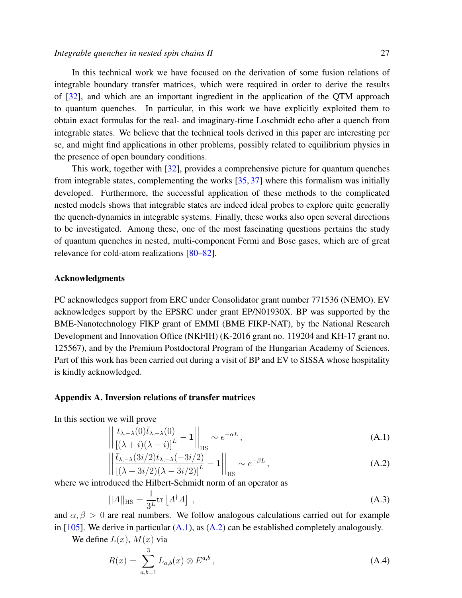In this technical work we have focused on the derivation of some fusion relations of integrable boundary transfer matrices, which were required in order to derive the results of [\[32\]](#page-29-1), and which are an important ingredient in the application of the QTM approach to quantum quenches. In particular, in this work we have explicitly exploited them to obtain exact formulas for the real- and imaginary-time Loschmidt echo after a quench from integrable states. We believe that the technical tools derived in this paper are interesting per se, and might find applications in other problems, possibly related to equilibrium physics in the presence of open boundary conditions.

This work, together with [\[32\]](#page-29-1), provides a comprehensive picture for quantum quenches from integrable states, complementing the works [\[35,](#page-29-4) [37\]](#page-29-6) where this formalism was initially developed. Furthermore, the successful application of these methods to the complicated nested models shows that integrable states are indeed ideal probes to explore quite generally the quench-dynamics in integrable systems. Finally, these works also open several directions to be investigated. Among these, one of the most fascinating questions pertains the study of quantum quenches in nested, multi-component Fermi and Bose gases, which are of great relevance for cold-atom realizations [\[80–](#page-30-3)[82\]](#page-30-4).

# Acknowledgments

PC acknowledges support from ERC under Consolidator grant number 771536 (NEMO). EV acknowledges support by the EPSRC under grant EP/N01930X. BP was supported by the BME-Nanotechnology FIKP grant of EMMI (BME FIKP-NAT), by the National Research Development and Innovation Office (NKFIH) (K-2016 grant no. 119204 and KH-17 grant no. 125567), and by the Premium Postdoctoral Program of the Hungarian Academy of Sciences. Part of this work has been carried out during a visit of BP and EV to SISSA whose hospitality is kindly acknowledged.

## <span id="page-26-0"></span>Appendix A. Inversion relations of transfer matrices

In this section we will prove

<span id="page-26-1"></span> $\overline{\phantom{a}}$ I  $\mid$  $\vert$ 

 $\overline{\phantom{a}}$  $\overline{\phantom{a}}$ I  $\vert$ 

$$
\left| \frac{t_{\lambda,-\lambda}(0)\bar{t}_{\lambda,-\lambda}(0)}{\left[ (\lambda+i)(\lambda-i) \right]^L} - 1 \right| \Big|_{\text{HS}} \sim e^{-\alpha L},\tag{A.1}
$$

$$
\left| \frac{\bar{t}_{\lambda,-\lambda}(3i/2)t_{\lambda,-\lambda}(-3i/2)}{\left[ (\lambda+3i/2)(\lambda-3i/2) \right]^L} - 1 \right|_{\text{HS}} \sim e^{-\beta L},\tag{A.2}
$$

where we introduced the Hilbert-Schmidt norm of an operator as

$$
||A||_{\text{HS}} = \frac{1}{3^L} \text{tr}\left[A^\dagger A\right] \,,\tag{A.3}
$$

and  $\alpha$ ,  $\beta > 0$  are real numbers. We follow analogous calculations carried out for example in [\[105\]](#page-31-1). We derive in particular  $(A.1)$ , as  $(A.2)$  can be established completely analogously.

We define  $L(x)$ ,  $M(x)$  via

$$
R(x) = \sum_{a,b=1}^{3} L_{a,b}(x) \otimes E^{a,b}, \qquad (A.4)
$$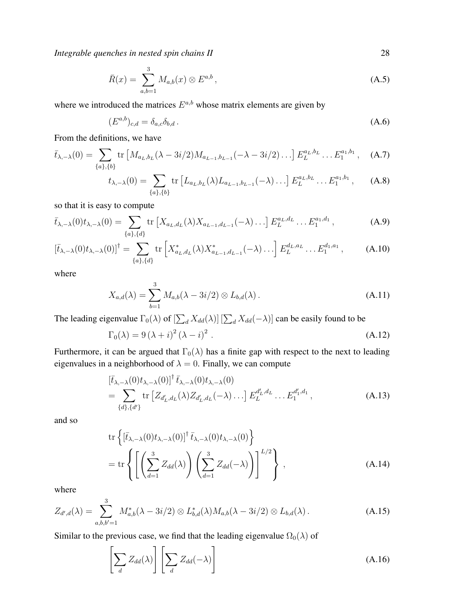$$
\bar{R}(x) = \sum_{a,b=1}^{3} M_{a,b}(x) \otimes E^{a,b}, \qquad (A.5)
$$

where we introduced the matrices  $E^{a,b}$  whose matrix elements are given by

$$
(E^{a,b})_{c,d} = \delta_{a,c}\delta_{b,d} \,. \tag{A.6}
$$

From the definitions, we have

$$
\bar{t}_{\lambda,-\lambda}(0) = \sum_{\{a\},\{b\}} \text{tr}\left[M_{a_L,b_L}(\lambda - 3i/2)M_{a_{L-1},b_{L-1}}(-\lambda - 3i/2)\ldots\right] E_L^{a_L,b_L}\ldots E_1^{a_1,b_1}, \quad (A.7)
$$

$$
t_{\lambda,-\lambda}(0) = \sum_{\{a\},\{b\}} \text{tr}\left[L_{a_L,b_L}(\lambda) L_{a_{L-1},b_{L-1}}(-\lambda) \ldots\right] E_L^{a_L,b_L} \ldots E_1^{a_1,b_1}, \quad (A.8)
$$

so that it is easy to compute

$$
\bar{t}_{\lambda,-\lambda}(0)t_{\lambda,-\lambda}(0) = \sum_{\{a\},\{d\}} \text{tr}\left[X_{a_L,d_L}(\lambda)X_{a_{L-1},d_{L-1}}(-\lambda)\ldots\right] E_L^{a_L,d_L}\ldots E_1^{a_1,d_1},\tag{A.9}
$$

$$
\left[\bar{t}_{\lambda,-\lambda}(0)t_{\lambda,-\lambda}(0)\right]^{\dagger} = \sum_{\{a\},\{d\}} \text{tr}\left[X_{a_L,d_L}^*(\lambda)X_{a_{L-1},d_{L-1}}^*(-\lambda)\ldots\right] E_L^{d_L,a_L}\ldots E_1^{d_1,a_1},\tag{A.10}
$$

where

$$
X_{a,d}(\lambda) = \sum_{b=1}^{3} M_{a,b}(\lambda - 3i/2) \otimes L_{b,d}(\lambda).
$$
 (A.11)

The leading eigenvalue  $\Gamma_0(\lambda)$  of  $[\sum_d X_{dd}(\lambda)] [\sum_d X_{dd}(-\lambda)]$  can be easily found to be

$$
\Gamma_0(\lambda) = 9(\lambda + i)^2 (\lambda - i)^2.
$$
 (A.12)

Furthermore, it can be argued that  $\Gamma_0(\lambda)$  has a finite gap with respect to the next to leading eigenvalues in a neighborhood of  $\lambda = 0$ . Finally, we can compute

$$
\begin{split} & [\bar{t}_{\lambda,-\lambda}(0)t_{\lambda,-\lambda}(0)]^{\dagger} \, \bar{t}_{\lambda,-\lambda}(0)t_{\lambda,-\lambda}(0) \\ &= \sum_{\{d\},\{d'\}} \text{tr} \left[ Z_{d'_{L},d_{L}}(\lambda) Z_{d'_{L},d_{L}}(-\lambda) \ldots \right] E_{L}^{d'_{L},d_{L}} \ldots E_{1}^{d'_{1},d_{1}}, \end{split} \tag{A.13}
$$

and so

$$
\operatorname{tr}\left\{ \left[ \bar{t}_{\lambda,-\lambda}(0)t_{\lambda,-\lambda}(0) \right]^{\dagger} \bar{t}_{\lambda,-\lambda}(0)t_{\lambda,-\lambda}(0) \right\}
$$
\n
$$
= \operatorname{tr}\left\{ \left[ \left( \sum_{d=1}^{3} Z_{dd}(\lambda) \right) \left( \sum_{d=1}^{3} Z_{dd}(-\lambda) \right) \right]^{L/2} \right\}, \tag{A.14}
$$

where

$$
Z_{d',d}(\lambda) = \sum_{a,b,b'=1}^{3} M_{a,b}^*(\lambda - 3i/2) \otimes L_{b,d}^*(\lambda) M_{a,b}(\lambda - 3i/2) \otimes L_{b,d}(\lambda).
$$
 (A.15)

Similar to the previous case, we find that the leading eigenvalue  $\Omega_0(\lambda)$  of

$$
\left[\sum_{d} Z_{dd}(\lambda)\right] \left[\sum_{d} Z_{dd}(-\lambda)\right]
$$
\n(A.16)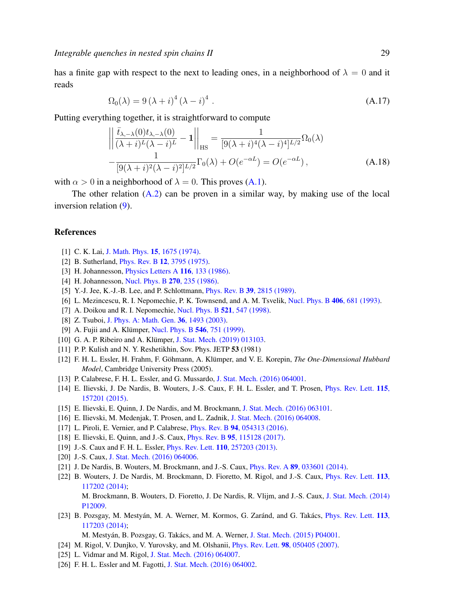has a finite gap with respect to the next to leading ones, in a neighborhood of  $\lambda = 0$  and it reads

$$
\Omega_0(\lambda) = 9(\lambda + i)^4 (\lambda - i)^4.
$$
\n(A.17)

Putting everything together, it is straightforward to compute

$$
\left\| \frac{\bar{t}_{\lambda,-\lambda}(0)t_{\lambda,-\lambda}(0)}{(\lambda+i)^{L}(\lambda-i)^{L}} - 1 \right\|_{\text{HS}} = \frac{1}{[9(\lambda+i)^{4}(\lambda-i)^{4}]^{L/2}} \Omega_{0}(\lambda)
$$

$$
-\frac{1}{[9(\lambda+i)^{2}(\lambda-i)^{2}]^{L/2}} \Gamma_{0}(\lambda) + O(e^{-\alpha L}) = O(e^{-\alpha L}), \tag{A.18}
$$

with  $\alpha > 0$  in a neighborhood of  $\lambda = 0$ . This proves [\(A.1\)](#page-26-1).

The other relation [\(A.2\)](#page-26-1) can be proven in a similar way, by making use of the local inversion relation [\(9\)](#page-3-2).

## <span id="page-28-0"></span>References

- <span id="page-28-1"></span>[1] C. K. Lai, [J. Math. Phys.](http://dx.doi.org/10.1063/1.1666522) **15**, 1675 (1974).
- <span id="page-28-2"></span>[2] B. Sutherland, Phys. Rev. B 12[, 3795 \(1975\).](https://doi.org/10.1103/PhysRevB.12.3795)
- <span id="page-28-3"></span>[3] H. Johannesson, *[Physics Letters A](https://doi.org/10.1016/0375-9601(86)90300-2)* **116**, 133 (1986).
- [4] H. Johannesson, [Nucl. Phys. B](https://doi.org/10.1016/0550-3213(86)90554-7) 270, 235 (1986).
- [5] Y.-J. Jee, K.-J.-B. Lee, and P. Schlottmann, *Phys. Rev. B* 39[, 2815 \(1989\).](https://doi.org/10.1103/PhysRevB.39.2815)
- [6] L. Mezincescu, R. I. Nepomechie, P. K. Townsend, and A. M. Tsvelik, [Nucl. Phys. B](https://doi.org/10.1016/0550-3213(93)90006-B) 406, 681 (1993).
- <span id="page-28-15"></span>[7] A. Doikou and R. I. Nepomechie, [Nucl. Phys. B](https://doi.org/10.1016/S0550-3213(98)00239-9) **521**, 547 (1998).
- <span id="page-28-4"></span>[8] Z. Tsuboi, [J. Phys. A: Math. Gen.](http://dx.doi.org/10.1088/0305-4470/36/5/321) 36, 1493 (2003).
- <span id="page-28-5"></span>[9] A. Fujii and A. Klümper, [Nucl. Phys. B](http://dx.doi.org/10.1016/S0550-3213(99)00081-4) 546, 751 (1999).
- <span id="page-28-6"></span>[10] G. A. P. Ribeiro and A. Klümper, [J. Stat. Mech. \(2019\) 013103.](http://dx.doi.org/10.1088/1742-5468/aaf31e)
- <span id="page-28-7"></span>[11] P. P. Kulish and N. Y. Reshetikhin, Sov. Phys. JETP 53 (1981)
- <span id="page-28-8"></span>[12] F. H. L. Essler, H. Frahm, F. Göhmann, A. Klümper, and V. E. Korepin, *The One-Dimensional Hubbard Model*, Cambridge University Press (2005).
- <span id="page-28-9"></span>[13] P. Calabrese, F. H. L. Essler, and G. Mussardo, [J. Stat. Mech. \(2016\) 064001.](http://dx.doi.org/10.1088/1742-5468/2016/06/064001)
- <span id="page-28-10"></span>[14] E. Ilievski, J. De Nardis, B. Wouters, J.-S. Caux, F. H. L. Essler, and T. Prosen, [Phys. Rev. Lett.](http://dx.doi.org/10.1103/PhysRevLett.115.157201) 115, [157201 \(2015\).](http://dx.doi.org/10.1103/PhysRevLett.115.157201)
- [15] E. Ilievski, E. Quinn, J. De Nardis, and M. Brockmann, [J. Stat. Mech. \(2016\) 063101.](http://dx.doi.org/10.1088/1742-5468/2016/06/063101)
- [16] E. Ilievski, M. Medenjak, T. Prosen, and L. Zadnik, [J. Stat. Mech. \(2016\) 064008.](http://dx.doi.org/10.1088/1742-5468/2016/06/064008)
- [17] L. Piroli, E. Vernier, and P. Calabrese, *Phys. Rev. B* **94**[, 054313 \(2016\).](http://dx.doi.org/10.1103/PhysRevB.94.054313)
- <span id="page-28-11"></span>[18] E. Ilievski, E. Quinn, and J.-S. Caux, *Phys. Rev. B* 95[, 115128 \(2017\).](http://dx.doi.org/10.1103/PhysRevB.95.115128)
- <span id="page-28-12"></span>[19] J.-S. Caux and F. H. L. Essler, Phys. Rev. Lett. 110[, 257203 \(2013\).](http://dx.doi.org/10.1103/PhysRevLett.110.257203)
- [20] J.-S. Caux, [J. Stat. Mech. \(2016\) 064006.](http://dx.doi.org/10.1088/1742-5468/2016/06/064006)
- [21] J. De Nardis, B. Wouters, M. Brockmann, and J.-S. Caux, *Phys. Rev. A* 89[, 033601 \(2014\).](http://dx.doi.org/10.1103/PhysRevA.89.033601)
- [22] B. Wouters, J. De Nardis, M. Brockmann, D. Fioretto, M. Rigol, and J.-S. Caux, [Phys. Rev. Lett.](http://dx.doi.org/10.1103/PhysRevLett.113.117202) 113, [117202 \(2014\);](http://dx.doi.org/10.1103/PhysRevLett.113.117202)

M. Brockmann, B. Wouters, D. Fioretto, J. De Nardis, R. Vlijm, and J.-S. Caux, [J. Stat. Mech. \(2014\)](http://dx.doi.org/10.1088/1742-5468/2014/12/P12009) [P12009.](http://dx.doi.org/10.1088/1742-5468/2014/12/P12009)

- <span id="page-28-13"></span>[23] B. Pozsgay, M. Mestyán, M. A. Werner, M. Kormos, G. Zaránd, and G. Takács, *[Phys. Rev. Lett.](http://dx.doi.org/10.1103/PhysRevLett.113.117203)* 113, [117203 \(2014\);](http://dx.doi.org/10.1103/PhysRevLett.113.117203)
	- M. Mestyán, B. Pozsgay, G. Takács, and M. A. Werner, [J. Stat. Mech. \(2015\) P04001.](http://dx.doi.org/10.1088/1742-5468/2015/04/P04001)
- <span id="page-28-14"></span>[24] M. Rigol, V. Dunjko, V. Yurovsky, and M. Olshanii, Phys. Rev. Lett. 98[, 050405 \(2007\).](http://dx.doi.org/10.1103/PhysRevLett.98.050405)
- [25] L. Vidmar and M. Rigol, [J. Stat. Mech. \(2016\) 064007.](http://dx.doi.org/10.1088/1742-5468/2016/06/064007)
- [26] F. H. L. Essler and M. Fagotti, [J. Stat. Mech. \(2016\) 064002.](http://dx.doi.org/10.1088/1742-5468/2016/06/064002)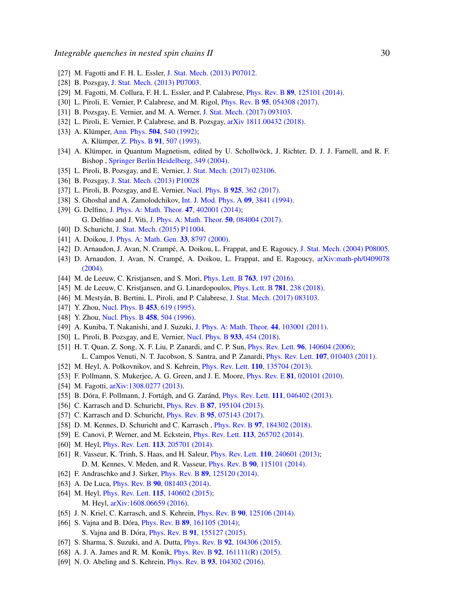- [27] M. Fagotti and F. H. L. Essler, [J. Stat. Mech. \(2013\) P07012.](http://dx.doi.org/10.1088/1742-5468/2013/07/P07012)
- [28] B. Pozsgay, [J. Stat. Mech. \(2013\) P07003.](http://dx.doi.org/10.1088/1742-5468/2013/07/P07003)
- [29] M. Fagotti, M. Collura, F. H. L. Essler, and P. Calabrese, Phys. Rev. B 89[, 125101 \(2014\).](http://dx.doi.org/10.1103/PhysRevB.89.125101)
- [30] L. Piroli, E. Vernier, P. Calabrese, and M. Rigol, Phys. Rev. B 95[, 054308 \(2017\).](http://dx.doi.org/10.1103/PhysRevB.95.054308)
- <span id="page-29-0"></span>[31] B. Pozsgay, E. Vernier, and M. A. Werner, [J. Stat. Mech. \(2017\) 093103.](http://dx.doi.org/10.1088/1742-5468/aa82c1)
- <span id="page-29-1"></span>[32] L. Piroli, E. Vernier, P. Calabrese, and B. Pozsgay, [arXiv 1811.00432 \(2018\).](https://arxiv.org/abs/1811.00432)
- <span id="page-29-2"></span>[33] A. Klümper, Ann. Phys.  $504$ [, 540 \(1992\);](http://dx.doi.org/10.1002/andp.19925040707) A. Klümper, Z. Phys. B 91[, 507 \(1993\).](http://dx.doi.org/10.1007/BF01316831)
- <span id="page-29-3"></span>[34] A. Klümper, in Quantum Magnetism, edited by U. Schollwöck, J. Richter, D. J. J. Farnell, and R. F. Bishop , [Springer Berlin Heidelberg, 349 \(2004\).](http://dx.doi.org/10.1007/BFb0119598)
- <span id="page-29-4"></span>[35] L. Piroli, B. Pozsgay, and E. Vernier, [J. Stat. Mech. \(2017\) 023106.](http://dx.doi.org/10.1088/1742-5468/aa5d1e)
- <span id="page-29-5"></span>[36] B. Pozsgay, [J. Stat. Mech. \(2013\) P10028](http://dx.doi.org/10.1088/1742-5468/2013/10/P10028)
- <span id="page-29-6"></span>[37] L. Piroli, B. Pozsgay, and E. Vernier, [Nucl. Phys. B](http://dx.doi.org/10.1016/j.nuclphysb.2017.10.012) 925, 362 (2017).
- <span id="page-29-7"></span>[38] S. Ghoshal and A. Zamolodchikov, [Int. J. Mod. Phys. A](http://dx.doi.org/10.1142/S0217751X94001552) 09, 3841 (1994).
- [39] G. Delfino, [J. Phys. A: Math. Theor.](http://dx.doi.org/10.1088/1751-8113/47/40/402001) **47**, 402001 (2014); G. Delfino and J. Viti, [J. Phys. A: Math. Theor.](http://dx.doi.org/10.1088/1751-8121/aa5660) 50, 084004 (2017).
- <span id="page-29-8"></span>[40] D. Schuricht, [J. Stat. Mech. \(2015\) P11004.](http://dx.doi.org/10.1088/1742-5468/2015/11/P11004)
- <span id="page-29-9"></span>[41] A. Doikou, [J. Phys. A: Math. Gen.](http://dx.doi.org/10.1088/0305-4470/33/48/315) 33, 8797 (2000).
- <span id="page-29-20"></span>[42] D. Arnaudon, J. Avan, N. Crampé, A. Doikou, L. Frappat, and E. Ragoucy, [J. Stat. Mech. \(2004\) P08005.](http://dx.doi.org/10.1088/1742-5468/2004/08/P08005)
- <span id="page-29-10"></span>[43] D. Arnaudon, J. Avan, N. Crampé, A. Doikou, L. Frappat, and E. Ragoucy,  $\arXiv:math-ph/0409078$  $\arXiv:math-ph/0409078$ [\(2004\).](http://arxiv.org/abs/math-ph/0409078)
- <span id="page-29-11"></span>[44] M. de Leeuw, C. Kristjansen, and S. Mori, *[Phys. Lett. B](http://dx.doi.org/10.1016/j.physletb.2016.10.044)* **763**, 197 (2016).
- <span id="page-29-12"></span>[45] M. de Leeuw, C. Kristjansen, and G. Linardopoulos, *[Phys. Lett. B](http://dx.doi.org/10.1016/j.physletb.2018.03.083)* **781**, 238 (2018).
- <span id="page-29-13"></span>[46] M. Mestyán, B. Bertini, L. Piroli, and P. Calabrese, [J. Stat. Mech. \(2017\) 083103.](http://dx.doi.org/10.1088/1742-5468/aa7df0)
- <span id="page-29-14"></span>[47] Y. Zhou, [Nucl. Phys. B](http://dx.doi.org/10.1016/0550-3213(95)00293-2) **453**, 619 (1995).
- <span id="page-29-15"></span>[48] Y. Zhou, [Nucl. Phys. B](http://dx.doi.org/10.1016/0550-3213(95)00553-6) **458**, 504 (1996).
- <span id="page-29-16"></span>[49] A. Kuniba, T. Nakanishi, and J. Suzuki, [J. Phys. A: Math. Theor.](http://dx.doi.org/10.1088/1751-8113/44/10/103001) 44, 103001 (2011).
- <span id="page-29-17"></span>[50] L. Piroli, B. Pozsgay, and E. Vernier, [Nucl. Phys. B](http://dx.doi.org/10.1016/j.nuclphysb.2018.06.015) 933, 454 (2018).
- <span id="page-29-18"></span>[51] H. T. Quan, Z. Song, X. F. Liu, P. Zanardi, and C. P. Sun, *Phys. Rev. Lett.* **96**[, 140604 \(2006\);](http://dx.doi.org/10.1103/PhysRevLett.96.140604) L. Campos Venuti, N. T. Jacobson, S. Santra, and P. Zanardi, Phys. Rev. Lett. 107[, 010403 \(2011\).](http://dx.doi.org/10.1103/PhysRevLett.107.010403)
- <span id="page-29-19"></span>[52] M. Heyl, A. Polkovnikov, and S. Kehrein, Phys. Rev. Lett. 110[, 135704 \(2013\).](http://dx.doi.org/10.1103/PhysRevLett.110.135704)
- [53] F. Pollmann, S. Mukerjee, A. G. Green, and J. E. Moore, *Phys. Rev. E* **81**[, 020101 \(2010\).](http://dx.doi.org/10.1103/PhysRevE.81.020101)
- [54] M. Fagotti, [arXiv:1308.0277 \(2013\).](http://arxiv.org/abs/1308.0277)
- [55] B. Dóra, F. Pollmann, J. Fortágh, and G. Zaránd, *Phys. Rev. Lett.* 111[, 046402 \(2013\).](http://dx.doi.org/10.1103/PhysRevLett.111.046402)
- [56] C. Karrasch and D. Schuricht, *Phys. Rev. B* **87**[, 195104 \(2013\).](http://dx.doi.org/10.1103/PhysRevB.87.195104)
- [57] C. Karrasch and D. Schuricht, *Phys. Rev. B* 95[, 075143 \(2017\).](https://doi.org/10.1103/PhysRevB.95.075143)
- [58] D. M. Kennes, D. Schuricht and C. Karrasch, *Phys. Rev. B* 97[, 184302 \(2018\).](https://doi.org/10.1103/PhysRevB.95.075143)
- [59] E. Canovi, P. Werner, and M. Eckstein, Phys. Rev. Lett. 113[, 265702 \(2014\).](http://dx.doi.org/10.1103/PhysRevLett.113.265702)
- [60] M. Heyl, *Phys. Rev. Lett.* **113**[, 205701 \(2014\).](http://dx.doi.org/10.1103/PhysRevLett.113.205701)
- [61] R. Vasseur, K. Trinh, S. Haas, and H. Saleur, Phys. Rev. Lett. 110[, 240601 \(2013\);](http://dx.doi.org/10.1103/PhysRevLett.110.240601) D. M. Kennes, V. Meden, and R. Vasseur, Phys. Rev. B 90[, 115101 \(2014\).](http://dx.doi.org/10.1103/PhysRevB.90.115101)
- <span id="page-29-21"></span>[62] F. Andraschko and J. Sirker, *Phys. Rev. B* **89**[, 125120 \(2014\).](http://dx.doi.org/10.1103/PhysRevB.89.125120)
- [63] A. De Luca, *Phys. Rev. B* **90**[, 081403 \(2014\).](http://dx.doi.org/10.1103/PhysRevB.90.081403)
- [64] M. Heyl, *Phys. Rev. Lett.* **115**[, 140602 \(2015\);](http://dx.doi.org/10.1103/PhysRevLett.115.140602) M. Heyl, [arXiv:1608.06659 \(2016\).](http://arxiv.org/abs/1608.06659)
- [65] J. N. Kriel, C. Karrasch, and S. Kehrein, *Phys. Rev. B* 90[, 125106 \(2014\).](http://dx.doi.org/10.1103/PhysRevB.90.125106)
- [66] S. Vajna and B. Dóra, *Phys. Rev. B* 89[, 161105 \(2014\);](http://dx.doi.org/10.1103/PhysRevB.89.161105) S. Vajna and B. Dóra, *Phys. Rev. B* 91[, 155127 \(2015\).](https://doi.org/10.1103/PhysRevB.91.155127)
- [67] S. Sharma, S. Suzuki, and A. Dutta, Phys. Rev. B 92[, 104306 \(2015\).](http://dx.doi.org/10.1103/PhysRevB.92.104306)
- [68] A. J. A. James and R. M. Konik, *Phys. Rev. B* 92, 161111(*R*) (2015).
- [69] N. O. Abeling and S. Kehrein, *Phys. Rev. B* 93[, 104302 \(2016\).](https://doi.org/10.1103/PhysRevB.93.104302)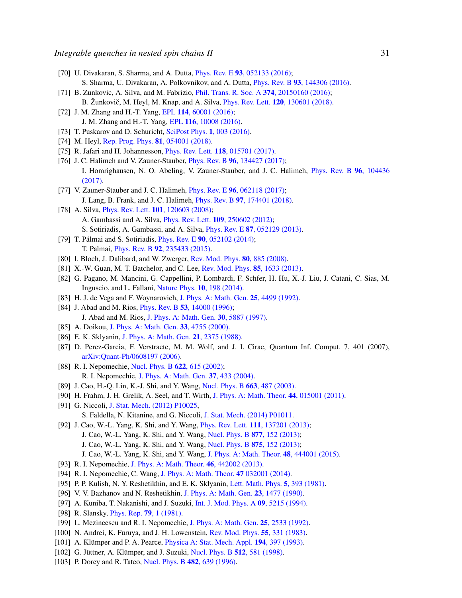- [70] U. Divakaran, S. Sharma, and A. Dutta, *Phys. Rev. E* 93[, 052133 \(2016\);](http://dx.doi.org/10.1103/PhysRevE.93.052133) S. Sharma, U. Divakaran, A. Polkovnikov, and A. Dutta, Phys. Rev. B 93[, 144306 \(2016\).](http://dx.doi.org/10.1103/PhysRevB.93.144306)
- [71] B. Zunkovic, A. Silva, and M. Fabrizio, *[Phil. Trans. R. Soc. A](http://dx.doi.org/10.1098/rsta.2015.0160)* 374, 20150160 (2016); B. Žunkovič, M. Heyl, M. Knap, and A. Silva, *Phys. Rev. Lett.* **120**[, 130601 \(2018\).](http://dx.doi.org/10.1103/PhysRevLett.120.130601)
- [72] J. M. Zhang and H.-T. Yang, EPL 114[, 60001 \(2016\);](http://dx.doi.org/10.1209/0295-5075/114/60001) J. M. Zhang and H.-T. Yang, EPL 116[, 10008 \(2016\).](http://dx.doi.org/10.1209/0295-5075/116/10008)
- [73] T. Puskarov and D. Schuricht, [SciPost Phys.](http://dx.doi.org/10.21468/SciPostPhys.1.1.003) 1, 003 (2016).
- [74] M. Heyl, [Rep. Prog. Phys.](http://dx.doi.org/10.1088/1361-6633/aaaf9a) **81**, 054001 (2018).
- [75] R. Jafari and H. Johannesson, *Phys. Rev. Lett.* **118**[, 015701 \(2017\).](http://dx.doi.org/10.1103/PhysRevLett.118.015701)
- [76] J. C. Halimeh and V. Zauner-Stauber, *Phys. Rev. B* 96[, 134427 \(2017\);](http://dx.doi.org/10.1103/PhysRevB.96.134427) I. Homrighausen, N. O. Abeling, V. Zauner-Stauber, and J. C. Halimeh, [Phys. Rev. B](http://dx.doi.org/10.1103/PhysRevB.96.104436) 96, 104436 [\(2017\).](http://dx.doi.org/10.1103/PhysRevB.96.104436)
- <span id="page-30-0"></span>[77] V. Zauner-Stauber and J. C. Halimeh, *Phys. Rev. E* **96**[, 062118 \(2017\);](http://dx.doi.org/10.1103/PhysRevE.96.062118) J. Lang, B. Frank, and J. C. Halimeh, Phys. Rev. B 97[, 174401 \(2018\).](http://dx.doi.org/10.1103/PhysRevB.97.174401)
- <span id="page-30-1"></span>[78] A. Silva, *Phys. Rev. Lett.* **101**[, 120603 \(2008\);](http://dx.doi.org/10.1103/PhysRevLett.101.120603) A. Gambassi and A. Silva, Phys. Rev. Lett. 109[, 250602 \(2012\);](http://dx.doi.org/10.1103/PhysRevLett.109.250602) S. Sotiriadis, A. Gambassi, and A. Silva, Phys. Rev. E 87[, 052129 \(2013\).](http://dx.doi.org/10.1103/PhysRevE.87.052129)
- <span id="page-30-2"></span>[79] T. Pálmai and S. Sotiriadis, *Phys. Rev. E*  $90$ [, 052102 \(2014\);](http://dx.doi.org/10.1103/PhysRevE.90.052102) T. Palmai, Phys. Rev. B 92[, 235433 \(2015\).](http://dx.doi.org/10.1103/PhysRevB.92.235433)
- <span id="page-30-3"></span>[80] I. Bloch, J. Dalibard, and W. Zwerger, [Rev. Mod. Phys.](http://dx.doi.org/10.1103/RevModPhys.80.885) **80**, 885 (2008).
- [81] X.-W. Guan, M. T. Batchelor, and C. Lee, [Rev. Mod. Phys.](http://dx.doi.org/10.1103/RevModPhys.85.1633) 85, 1633 (2013).
- <span id="page-30-4"></span>[82] G. Pagano, M. Mancini, G. Cappellini, P. Lombardi, F. Schfer, H. Hu, X.-J. Liu, J. Catani, C. Sias, M. Inguscio, and L. Fallani, [Nature Phys.](http://dx.doi.org/10.1038/nphys2878) 10, 198 (2014).
- <span id="page-30-5"></span>[83] H. J. de Vega and F. Woynarovich, [J. Phys. A: Math. Gen.](http://dx.doi.org/10.1088/0305-4470/25/17/012) 25, 4499 (1992).
- [84] J. Abad and M. Rios, *Phys. Rev. B* 53[, 14000 \(1996\);](http://dx.doi.org/10.1103/PhysRevB.53.14000) J. Abad and M. Rios, [J. Phys. A: Math. Gen.](http://dx.doi.org/10.1088/0305-4470/30/17/003) 30, 5887 (1997).
- <span id="page-30-6"></span>[85] A. Doikou, [J. Phys. A: Math. Gen.](http://dx.doi.org/10.1088/0305-4470/33/26/303) 33, 4755 (2000).
- <span id="page-30-7"></span>[86] E. K. Sklyanin, [J. Phys. A: Math. Gen.](http://dx.doi.org/10.1088/0305-4470/21/10/015) 21, 2375 (1988).
- <span id="page-30-8"></span>[87] D. Perez-Garcia, F. Verstraete, M. M. Wolf, and J. I. Cirac, Quantum Inf. Comput. 7, 401 (2007), [arXiv:Quant-Ph/0608197 \(2006\).](https://arxiv.org/abs/quant-ph/0608197)
- <span id="page-30-9"></span>[88] R. I. Nepomechie, [Nucl. Phys. B](http://dx.doi.org/10.1016/S0550-3213(01)00585-5) 622, 615 (2002); R. I. Nepomechie, [J. Phys. A: Math. Gen.](http://dx.doi.org/10.1088/0305-4470/37/2/012) 37, 433 (2004).
- [89] J. Cao, H.-Q. Lin, K.-J. Shi, and Y. Wang, [Nucl. Phys. B](http://dx.doi.org/10.1016/S0550-3213(03)00372-9) 663, 487 (2003).
- [90] H. Frahm, J. H. Grelik, A. Seel, and T. Wirth, [J. Phys. A: Math. Theor.](http://dx.doi.org/10.1088/1751-8113/44/1/015001) 44, 015001 (2011).
- [91] G. Niccoli, [J. Stat. Mech. \(2012\) P10025,](http://dx.doi.org/10.1088/1742-5468/2012/10/P10025)

S. Faldella, N. Kitanine, and G. Niccoli, [J. Stat. Mech. \(2014\) P01011.](http://dx.doi.org/10.1088/1742-5468/2014/01/P01011)

- [92] J. Cao, W.-L. Yang, K. Shi, and Y. Wang, *Phys. Rev. Lett.* **111**[, 137201 \(2013\);](http://dx.doi.org/10.1103/PhysRevLett.111.137201) J. Cao, W.-L. Yang, K. Shi, and Y. Wang, [Nucl. Phys. B](http://dx.doi.org/10.1016/j.nuclphysb.2013.10.001) 877, 152 (2013);
	-
	- J. Cao, W.-L. Yang, K. Shi, and Y. Wang, [Nucl. Phys. B](http://dx.doi.org/10.1016/j.nuclphysb.2013.06.022) 875, 152 (2013);
	- J. Cao, W.-L. Yang, K. Shi, and Y. Wang, [J. Phys. A: Math. Theor.](http://dx.doi.org/10.1088/1751-8113/48/44/444001) 48, 444001 (2015).
- [93] R. I. Nepomechie, [J. Phys. A: Math. Theor.](http://dx.doi.org/10.1088/1751-8113/46/44/442002) 46, 442002 (2013).
- <span id="page-30-10"></span>[94] R. I. Nepomechie, C. Wang, [J. Phys. A: Math. Theor.](http://dx.doi.org/10.1088/1751-8113/47/3/032001) 47 032001 (2014).
- <span id="page-30-11"></span>[95] P. P. Kulish, N. Y. Reshetikhin, and E. K. Sklyanin, [Lett. Math. Phys.](http://dx.doi.org/10.1007/BF02285311) 5, 393 (1981).
- <span id="page-30-12"></span>[96] V. V. Bazhanov and N. Reshetikhin, [J. Phys. A: Math. Gen.](http://dx.doi.org/10.1088/0305-4470/23/9/012) 23, 1477 (1990).
- <span id="page-30-13"></span>[97] A. Kuniba, T. Nakanishi, and J. Suzuki, [Int. J. Mod. Phys. A](http://dx.doi.org/10.1142/S0217751X94002119) 09, 5215 (1994).
- <span id="page-30-14"></span>[98] R. Slansky, *[Phys. Rep.](http://dx.doi.org/10.1016/0370-1573(81)90092-2)* **79**, 1 (1981).
- <span id="page-30-15"></span>[99] L. Mezincescu and R. I. Nepomechie, [J. Phys. A: Math. Gen.](http://dx.doi.org/10.1088/0305-4470/25/9/024) 25, 2533 (1992).
- <span id="page-30-16"></span>[100] N. Andrei, K. Furuya, and J. H. Lowenstein, [Rev. Mod. Phys.](http://dx.doi.org/10.1103/RevModPhys.55.331) 55, 331 (1983).
- <span id="page-30-17"></span>[101] A. Klümper and P. A. Pearce, [Physica A: Stat. Mech. Appl.](http://dx.doi.org/10.1016/0378-4371(93)90371-A)  $194$ ,  $397$  (1993).
- [102] G. Jüttner, A. Klümper, and J. Suzuki, [Nucl. Phys. B](http://dx.doi.org/10.1016/S0550-3213(97)00772-4) 512, 581 (1998).
- [103] P. Dorey and R. Tateo, [Nucl. Phys. B](http://dx.doi.org/10.1016/S0550-3213(96)00516-0) 482, 639 (1996).